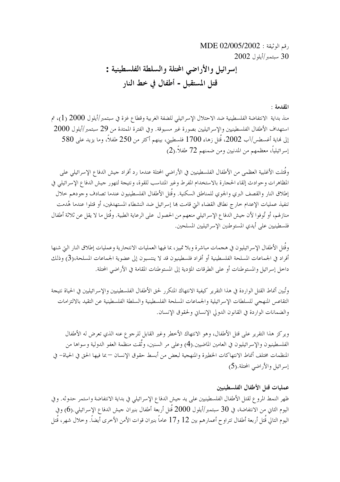رقم الوثيقة : 02/005/2002 MDE 30 ستمبر/أبلول 2002

المقدمة :

منذ بداية الانتفاضة الفلسطينية ضد الاحتلال الإسرائيلي للضفة الغربية وقطاع غزة في سبتمبر/أيلول 2000 (1)، تم استهداف الأطفال الفلسطينيين والإسرائيليين بصورة غير مسبوقة. وفي الفترة الممتدة من 29 سبتمبر/أيلول 2000  $580\,$ إلى نماية أغسطس/آب 2002، قُتل زهاء 1700 فلسطيني، بينهم أكثر من 250 طفلاً، وما يزيد على 580 إسرائيلياً، معظمهم من المدنيين ومن ضمنهم 72 طفلاً.(2)

وقُتلت الأغلبية العظمى من الأطفال الفلسطينيين في الأراضي المحتلة عندما رد أفراد جيش الدفاع الإسرائيلي على المظاهرات وحوادث إلقاء الحجارة بالاستخدام المفرط وغير المتناسب للقوة، ونتيجة لتهور جيش الدفاع الإسرائيلي في إطلاق النار والقصف البرى والجوى للمناطق السكنية. وقُتل الأطفال الفلسطينيون عندما تصادف وحودهم حلال تنفيذ عمليات الإعدام حارج نطاق القضاء التي قامت بما إسرائيل ضد النشطاء المستهدفين، أو قتلوا عندما هُدمت منازلهم، أو تُوفوا لأن حيش الدفاع الإسرائيلي منعهم من الحصول على الرعاية الطبية. وقُتل ما لا يقل عن ثلاثة أطفال فلسطينيين على أيدي المستوطنين الإسرائيليين المسلحين.

وقُتل الأطفال الإسرائيليون في هجمات مباشرة وبلا تمييز، بما فيها العمليات الانتحارية وعمليات إطلاق النار التي شنها أفراد في الجماعات المسلحة الفلسطينية أو أفراد فلسطينيون قد لا ينتسبون إلى عضوية الجماعات المسلحة،(3) وذلك داخل إسرائيل والمستوطنات أو على الطرقات المؤدية إلى المستوطنات المقامة في الأراضي المحتلة.

وتُبين أنماط القتل الواردة في هذا التقرير كيفية الانتهاك المتكرر لحق الأطفال الفلسطينيين والإسرائيليين في الحياة نتيجة التقاعس المنهجي للسلطات الإسرائيلية والجماعات المسلحة الفلسطينية والسلطة الفلسطينية عن التقيد بالالتزامات والضمانات الواردة في القانون الدولي الإنساني ولحقوق الإنسان.

ويركز هذا التقرير على قتل الأطفال، وهو الانتهاك الأحطر وغير القابل للرجوع عنه الذي تعرض له الأطفال الفلسطينيون والإسرائيليون في العامين الماضيين.(4) وعلى مر السنين، وثَّقت منظمة العفو الدولية و سواها من المنظمات مختلف أنماط الانتهاكات الخطيرة والمنهجية لبعض من أبسط حقوق الإنسان —بما فيها الحق في الحياة– في إسرائيل والأراضبي المحتلة.(5)

#### عمليات قتل الأطفال الفلسطينيين

ظهر النمط المروع لقتل الأطفال الفلسطينيين على يد حيش الدفاع الإسرائيلي في بداية الانتفاضة واستمر حدوثه. وفي اليوم الثانى من الانتفاضة، في 30 سبتمبر/أيلول 2000 قُتل أربعة أطفال بنيران حيش الدفاع الإسرائيلي.(6) وفي اليوم التالي قُتل أربعة أطفال تتراوح أعمارهم بين 12 و17 عاماً بنيران قوات الأمن الأخرى أيضاً. وحلال شهر، قُتل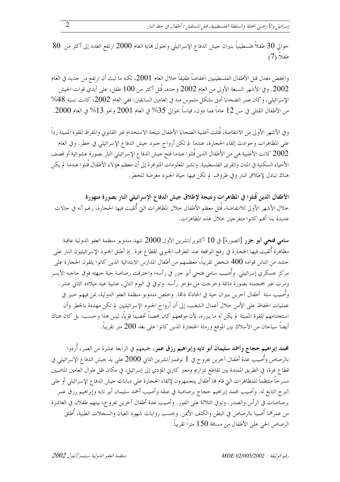حوالي 30 طفلاً فلسطينياً بنيران حيش الدفاع الإسرائيلي وبحلول نماية العام 2000 ارتفع العدد إلى أكثر من 80 طفلاً.(7)

وانخفض معدل قتل الأطفال الفلسطينيين انخفاضاً طفيفاً حلال العام 2001، لكنه ما لبث أن ارتفع من جديد في العام 2002. وفي الأشهر السبعة الأولى من العام 2002 وحده، قُتل أكثر من 100 طفل، على أيدي قوات الجيش الإسرائيلي، وكان عمر الضحايا أدني بشكل ملموس منه في العامين السابقين: ففي العام 2002، كانت نسبة 48% من الأطفال القتلي في سن 12 عاماً فما دون، قياساً بحوالي 35% في العام 2001 ونحو 13% في العام 2000.

وفي الأشهر الأولى من الانتفاضة، قُتلت أغلبية الضحايا الأطفال نتيجة الاستخدام غير القانوني والمفرط للقوة المميتة رداً على المظاهرات وحوادث إلقاء الحجارة، عندما لم تكن أرواح جنود جيش الدفاع الإسرائيلي في خطر. وفي العام 2002 كانت الأغلبية هي من الأطفال الذين قُتلوا عندما فتح جيش الدفاع الإسرائيلي النار بصورة عشوائية أو قصف الأحياء السكنية في المدن والقرى الفلسطينية. وتشير المعلومات المتوافرة إلى أن معظم هؤلاء الأطفال قُتلوا عندما لم يكن هناك تبادل لإطلاق النار وفي ظروف لم تكن فيها حياة الجنود معرضة للخطر.

الأطفال الذين قُتلوا في المظاهرات ونتيجة لإطلاق جيش الدفاع الإسرائيلي النار بصورة متهورة خلال الأشهر الأولى للانتفاضة، قُتل معظم الأطفال خلال المظاهرات التيّ أُلقيت فيها الحجارة، رغم أنه في حالات عديدة بدا أُنَّعم كانوا متفرِّجين خلالٍ هذه المظاهرات.

سامي فتحي أبو جزر [الصورة] في 10 أكتوبر/تشرين الأول 2000 شهد مندوبو منظمة العفو الدولية عاقبة مظاهرة أُلقيت فيها الحجارة في رفح الواقعة عند الطرف الجنوبي لقطاع غزة. إذ أطلق الجنود الإسرائيليون النار على حشد من الناس قوامه 400 شخص تقريباً، معظمهم من أطفال المدارس الابتدائية الذين كانوا يلقون الحجارة على مركز عسكري إسرائيلي. وأُصيب سامي فتحي أبو حزر في رأسه؛ واخترقت رصاصة حية جبهته فوق حاجبه الأيسر ومرت عبر جمجمته بصورة مائلة وخرجت من مؤخر رأسه. وتوفي في اليوم التالي، عشية عيد ميلاده الثاني عشر. وأُصيب ستة أطفال آخرين بنيران حية في الحادثة ذاتما. وخلص مندوبو منظمة العفو الدولية، بمن فيهم حبير في عمليات الحفاظ على الأمن خلال أعمال الشغب، إلى أن أرواح الجنود الإسرائيليين لم تكن مهددة بالخطر وأن استخدامهم للقوة المميتة لم يكن له ما يبرره، لأن موقعهم كان محصناً تحصيناً قوياً، ليس هذا وحسب، بل كان هناك أيضاً سياحان من الأسلاك بين الموقع ورماة الححارة الذين كانوا على بعد 200 متر تقريباً.

محمد إبراهيم حجاج وأحمد سليمان أبو تايه وإبراهيم رزق عمر، جميعهم في الرابعة عشرة من العمر، أُردوا بالرصاص وأُصيب عدة أطفال آخرين بجروح في 1 نوفمبر/تشرين الثاني 2000 على يد حيش الدفاع الإسرائيلي في قطاع غزة، في الطريق الممتدة بين تقاطع نتزاريم ومعبر كارين المؤدي إلى إسرائيل، في مكان ظل طوال العامين الماضيين مسرحاً منتظماً للمظاهرات التي قام ها أطفال يتجمهرون لإلقاء الحجارة على دبابات جيش الدفاع الإسرائيلي أو على البرج التابع له. وأصيب محمد إبراهيم حجاج برصاصة في عنقه وأصيب أحمد سليمان أبو تايه وإبراهيم رزق عمر برصاصات في الرأس والصدر. وتوفي الثلاثة على الفور. وأصيب عدة أطفال آخرين بجروح، بينهم طفلان في العاشرة من عمرهما أُصيبا بالرصاص في البطن والكتف الأيمن. وبحسب روايات شهود العيان والسحلات الطبية، أُطلق الرصاص الحي على الأطفال من مسافة 150 متراً تقريباً.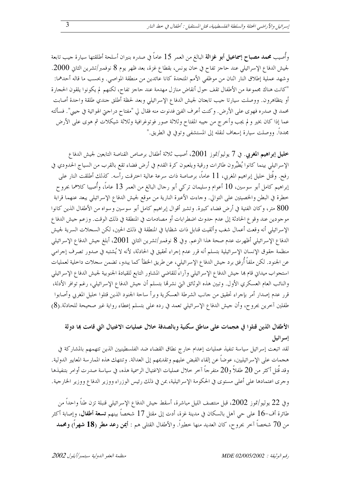وأُصيب محمد مصباح إسماعيل أبو غزالة البالغ من العمر 15 عاماً في صدره بنيران أسلحة أطلقتها سيارة جيب تابعة لجيش الدفاع الإسرائيلي عند حاجز تفاح في حان يونس، بقطاع غزة، بعد ظهر يوم 8 نوفمبر/تشرين الثاني 2000. و شهد عملية إطلاق النار اثنان من موظفي الأمم المتحدة كانا عائدين من منطقة المواصي. وبحسب ما قاله أحدهما: "كانت هناك مجموعة من الأطفال تقف حول أنقاض منازل مهدمة عند حاجز تفاح، لكنهم لم يكونوا يلقون الحجارة أو يتظاهرون. ووصلت سيارتا جيب تابعتان لجيش الدفاع الإسرائيلي وبعد لحظة أطلق جندي طلقة واحدة أصابت محمد في صدره فهوى على الأرض. وكنت أعرف الفتي فدنوت منه فقال لي "مفتاح دراجتي الهوائية في جيبي". فسألته عما إذا كان بخير و لم يجب وأخرج من حيبه المفتاح وثلاثة صور فوتوغرافية وثلاثة شيكلات ثم هوى على الأرض مجدداً. ووصلت سيارة إسعاف لنقله إلى المستشفى وتوفي في الطريق."

خليل إبراهيم المغربي. في 7 يوليو/تموز 2001، أصيب ثلاثة أطفال برصاص القناصة التابعين لجيش الدفاع الإسرائيلي بينما كانوا يُطيِّرون طائرات ورقية ويلعبون كرة القدم في أرض فضاء تقع بالقرب من السياج الحدودي في رفح. وقُتل خليل إبراهيم المغربي، 11 عاماً، برصاصة ذات سرعة عالية اخترقت رأسه. كذلك أطلقت النار على إبراهيم كامل أبو سوسين، 10 أعوام وسليمان تركي أبو رحال البالغ من العمر 13 عاماً، وأُصيبا كلاهما بجروح خطرة في البطن والخصيتين على التوالي. وجاءت الأعيرة النارية من موقع لجيش الدفاع الإسرائيلي يبعد عنهما قرابة متر، وكان الفتية في أرض فضاء كبيرة. وتشير أقوال إبراهيم كامل أبو سوسين وسواه من الأطفال الذين كانوا  $800\,$ موجودين عند وقوع الحادثة إلى عدم حدوث اضطرابات أو مصادمات في المنطقة في ذلك الوقت. وزعم جيش الدفاع الإسرائيلي أنه وقعت أعمال شغب وألقيت قنابل ذات شظايا في المنطقة في ذلك الحين، لكن السحلات السرية لجيش الدفاع الإسرائيلي أظهرت عدم صحة هذا الزعم. وفي 8 نوفمبر/تشرين الثاني 2001، أبلغ جيش الدفاع الإسرائيلي منظمة حقوق الإنسان الإسرائيلية بتسلم أنه قرر عدم إجراء تحقيق في الحادثة، لأنه لا يُشتبه في صدور تصرف إجرامي عن الجنود. لكن ملفاً أُرفق برد جيش الدفاع الإسرائيلي، عن طريق الخطأ كما يبدو، تضمن سجلات داخلية لعمليات استجواب ميداني قام ها حيش الدفاع الإسرائيلي وآراءً للقاضي المشاور التابع للقيادة الجنوبية لجيش الدفاع الإسرائيلي والنائب العام العسكري الأول. وتبين هذه الوثائق التي نشرقما بتسلم أن حيش الدفاع الإسرائيلي، رغم توافر الأدلة، قرر عدم إصدار أمر بإجراء تحقيق من حانب الشرطة العسكرية وبرأ ساحة الجنود الذين قتلوا خليل المغربي وأصابوا طفلين آخرين بجروح، وأن حيش الدفاع الإسرائيلي تعمد في رده على بتسلم إعطاء رواية غير صحيحة للحادثة.(8)

# الأطفال الذين قتلوا في هجمات على مناطق سكنية وبالصدفة خلال عمليات الاغتيال التي قامت بما دولة إسر ائيل

لقد اتبعت إسرائيل سياسة تنفيذ عمليات إعدام حارج نطاق القضاء ضد الفلسطينيين الذين تتهمهم بالمشاركة في هجمات على الإسرائيليين، عوضاً عن إلقاء القبض عليهم وتقديمهم إلى العدالة. وتنتهك هذه الممار سة المعايير الدولية. وقد قُتل أكثر من 20 طفلاً و20 متفرحاً آخر حلال عمليات الاغتيال الرسمية هذه، في سياسة صدرت أوامر بتنفيذها وجرى اعتمادها على أعلى مستوى في الحكومة الإسرائيلية، عن في ذلك رئيس الوزراء ووزير الدفاع ووزير الخارجية.

وفي 22 يوليو/تموز 2002، قبل منتصف الليل مباشرة، أسقط جيش الدفاع الإسرائيلي قنبلة تزن طناً واحداً من طائرة أف–16 على حي آهل بالسكان في مدينة غزة، أدت إلى مقتل 17 شخصاً بينهم **تسعة أطفال**، وإصابة أكثر من 70 شخصاً آخر بجروح، كان العديد منها خطيراً. والأطفال القتلي هم : أ**يمن رعد مطر (18 شهراً) ومحمد**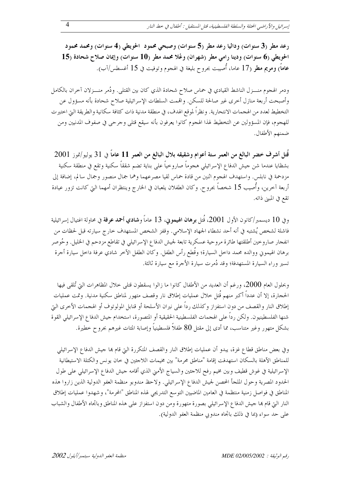رعد مطر (3 سنوات) وداليا رعد مطر (5 سنوات) وصبحي محمود 1لحويطى (4 سنوات) ومحمد محمود  $15$ الحويطى (6 سنوات) ودينا رامي مطر (شهران) وعُلا محمد مطر (10 سنوات) وإيمان صلاح شحادة (15 عاماً) ومريم مطر (17 عاما، أُصيبت بجروح بليغة في الهجوم وتوفيت في 15 أغسطس/آب).

ودمر الهجوم منـــزل الناشط القيادي في حماس صلاح شحادة الذي كان بين القتلي. ودُمر منـــزلان آخران بالكامل وأصبحت أربعة منازل أخرى غير صالحة للسكن. واقممت السلطات الإسرائيلية صلاح شحادة بأنه مسؤول عن التخطيط لعدد من الهجمات الانتحارية. ونظراً لموقع الهدف، في منطقة مدنية ذات كثافة سكانية والطريقة التي احتيرت للهجوم، فإن المسؤولين عن التخطيط لهذا الهجوم كانوا يعرفون بأنه سيقع قتلى وجرحى في صفوف المدنيين ومن ضمنهم الأطفال.

قُتل أشرف خضر البالغ من العمر ستة أعوام وشقيقه بلال البالغ من العمر 11 عاماً في 31 يوليو/تموز 2001 بشظايا عندما شن حيش الدفاع الإسرائيلي هجوماً صاروحياً على بناية تضم شققاً سكنية وتقع في منطقة سكنية مزدحمة في نابلس. واستهدف الهجوم اثنين من قادة حماس لقيا مصرعهما وهما جمال منصور وجمال سالم، إضافة إلى أربعة آخرين، وأُصيب 15 شخصاً بجروح. وكان الطفلان يلعبان في الخارج وينتظران أمهما التي كانت تزور عيادة تقع في المبين ذاته.

وفي 10 ديسمبر/كانون الأول 2001، قُتل **برهان الهيموني**، 13 عاماً و**شادي أحمد عرفة** في محاولة اغتيال إسرائيلية فاشلة لشخص يُشتبه في أنه أحد نشطاء الجهاد الإسلامي. وقفز الشخص المستهدف حارج سيارته قبل لحظات من انفجار صارو حين أطلقتها طائرة مروحية عسكرية تابعة لجيش الدفاع الإسرائيلي في تقاطع مزدحم في الخليل. وحُوصر برهان الهيموني ووالده محمد داخل السيارة؛ وقُطع رأس الطفل. وكان الطفل الآخر شادي عرفة داخل سيارة أحرة تسير وراء السيارة المستهدفة؛ وقد دُمرت سيارة الأحرة مع سيارة ثالثة.

وبحلول العام 2000، ورغم أن العديد من الأطفال كانوا ما زالوا يسقطون قتلي خلال المظاهرات التي تُلقى فيها الحجارة، إلا أن عدداً أكبر منهم قُتل حلال عمليات إطلاق نار وقصف متهور لمناطق سكنية مدنية. وتمت عمليات إطلاق النار والقصف من دون استفزاز وكذلك رداً على نيران الأسلحة أو قنابل المولوتوف أو الهجمات الأخرى التي شنها الفلسطينيون. ولكن رداً على الهجمات الفلسطينية الحقيقية أو المتصورة، استخدام جيش الدفاع الإسرائيلي القوة بشكل متهور وغير متناسب، مما أدى إلى مقتل 80 طفلاً فلسطينياً وإصابة المئات غيرهم بجروح خطيرة.

وفي بعض مناطق قطاع غزة، يبدو أن عمليات إطلاق النار والقصف المتكررة التي قام بما حيش الدفاع الإسرائيلي للمناطق الآهلة بالسكان استهدفت إقامة "مناطق محرمة" بين مخيمات اللاحئين في حان يونس والكتلة الاستيطانية الإسرائيلية في غوش قطيف وبين مخيم رفح للاحئين والسياج الأمني الذي أقامه حيش الدفاع الإسرائيلي على طول الحدود المصرية وحول الملحأ المحصن لجيش الدفاع الإسرائيلي. ولاحظ مندوبو منظمة العفو الدولية الذين زاروا هذه المناطق في فواصل زمنية منتظمة في العامين الماضيين التوسع التدريجي لهذه المناطق "المحرمة"، وشهدوا عمليات إطلاق النار التي قام ها حيش الدفاع الإسرائيلي بصورة متهورة ومن دون استفزاز على هذه المناطق وباتحاه الأطفال والشباب على حد سواء (بما في ذلك باتحاه مندوبي منظمة العفو الدولية).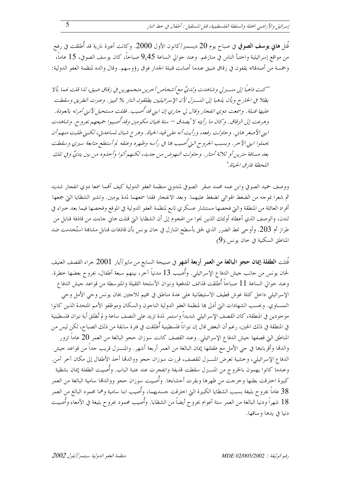قُتل هاني يوسف الصوفي في صباح يوم 20 ديسمبر/كانون الأول 2000. وكانت أعيرة نارية قد أُطلقت في رفح من مواقع إسرائيلية واختبأ الناس في منازلهم. وعند حوالي الساعة 9٫45 صباحاً، كان يوسف الصوفي، 15 عاماً، وحْمسة من أصدقائه يقفون في زقاق ضيق عندما أصابت قنبلة الجدار فوق رؤوسهم. وقال والده لمنظمة العفو الدولية:

"كنت ذاهباً إلى منسـزلي وشاهدت ولديَّ مع أشخاص آخرين متجمهرين في زقاق ضيق، لذا قلت لهما بألا يظلا في الخارج وبأن يذهبا إلى المنسزل لأن الإسرائيليين يطلقون النار بلا تمييز . وعبرت الطريق وسقطت عليها قنبلة. وسمعت دوي انفجار وقال لي جاري إن ابني قد أُصيب. فقلت مستحيل لأنني أمرته بالعودة. وهرعت إلى الزقاق. وكان ما رأيته لا يُصِدق — ستة فتيان مكومين وقد أُصيبوا جميعهم بجرو ح. و شاهدت ابيني الأصغر هايي. وحاولت رفعه، ورأيت أنه على قيد الحياة. وهرع شبان لمساعدتي، لكنيني طلبت منهم أن يحملوا ابنى الآحر. وبسبب الجروح التي أُصيب ها في رأسه وظهره وعنقه لم أستطع متابعة سيري وسقطت بعد مسافة مترين أو ثلاثة أمتار. وحاولت النهوض من حديد، لكنهم أتوا وأخذوه من بين يديَّ وفي تلك اللحظة فاد ق الحياة ."

ووصف حميد الصوفي وابن عمه محمد صقر الصوفي لمندوبي منظمة العفو الدولية كيف أفمما سمعا دوي انفجار شديد ثم شعرًا بموجه من الضغط الهوائي تضغط عليهما. وبعد الانفجار فقدا سمعهما لمدة يومين. وتشير الشظايا التي جمعها أفراد العائلة من المنطقة والتي فحصها مستشار عسكري تابع لمنظمة العفو الدولية في الموقع وفحصها فيما بعد حبراء في لندن، والوصف الذي أعطاه أولئك الذين نجوا من الهجوم إلى أن الشظايا التي قتلت هاني حاءت من قاذفة قنابل من طراز أم 203. وأوحى نمط الضرر الذي لحق بأسطح المنازل في حان يونس بأن قاذفات قنابل مشاهة استُخدمت ضد المناطق السكنية في خان يونس.(9)

قُتلت ا**لطفلة إيمان حجو البالغة من العمر أربعة أشهر** في صبيحة السابع من مايو/أيار 2001 جراء القصف العنيف لخان يونس من حانب حيش الدفاع الإسرائيلي. وأُصيب 13 مدنياً آخر، بينهم سبعة أطفال، بجروح بعضها حطرة. وعند حوالي الساعة 11 صباحاً أُطلقت قذائف المدفعية ونيران الأسلحة الثقيلة والمتوسطة من قواعد جيش الدفاع الإسرائيلي داخل كتلة غوش قطيف الاستيطانية على عدة مناطق في مخيم للاجئين بخان يونس وحي الأمل وحي النمساوي. وبحسب الشهادات التي أدلى ها لمنظمة العفو الدولية الناحون والسكان وموظفو الأمم المتحدة الذين كانوا موجودين في المنطقة، كان القصف الإسرائيلي شديداً واستمر لمدة تزيد على النصف ساعة و لم تُطلق أية نيران فلسطينية في المنطقة في ذلك الحين، رغم أن البعض قال إن نيراناً فلسطينية أُطلقت في فترة سابقة من ذلك الصباح، لكن ليس من المناطق التي قصفها حيش الدفاع الإسرائيلي. وعند القصف كانت سوزان حجو البالغة من العمر 20 عاماً تزور والدهّا وأقرباءها في حي الأمل مع طفلتها إيمان البالغة من العمر أربعة أشهر. والمنــــزل قريب جداً من قواعد جيش الدفاع الإسرائيلي، وخشية تعرض المنـــزل للقصف، قررت سوزان حجو ووالدقما أخذ الأطفال إلى مكان آخر آمن. وعندما كانوا يهمون بالخروج من المنـــزل سقطت قذيفة وانفجرت عند عتبة الباب. وأُصيبت الطفلة إيمان بشظية كبيرة احترقت بطنها وحرجت من ظهرها وبقرت أحشاءها. وأُصيبت سوزان حجو ووالدقما سامية البالغة من العمر 38 عاماً بجروح بليغة بسبب الشظايا الكبيرة التي احترقت حسديهما، وأُصيب ابنا سامية وهما محمود البالغ من العمر 18 شهراً ودنيا البالغة من العمر ستة أعوام بجروح أيضاً من الشظايا. وأُصيب محمود بجروح بليغة في الأمعاء وأُصيبت دنيا في يدها وساقها.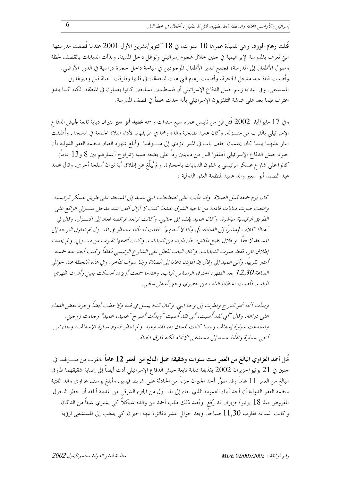قَتلت رِهام الورد، وهي تلميذة عمرها 10 سنوات، في 18 أكتوبر/تشرين الأول 2001 عندما قَصفت مدرستها التي تُعرف بالمدرسة الإبراهيمية في حنين حلال هجوم إسرائيلي وتوغل داحل المدينة. وبدأت الدبابات بالقصف لحظة وصول الأطفال إلى المدرسة؛ فجمع المدير الأطفال الموجودين في الباحة داخل حجرة دراسية في الدور الأرضي. وأصيبت فتاة عند مدحل الحجرة، وأصيبت رهام التي هبت لنجدهّا، في قلبها وفارقت الحياة قبل وصولها إلى المستشفى. وفي البداية زعم حيش الدفاع الإسرائيلي أن فلسطينيين مسلحين كانوا يعملون في المنطقة، لكنه كما يبدو اعترف فيما بعد على شاشة التلفزيون الإسرائيلي بأنه حدث خطأ في قصف المدرسة.

وفي 17 مايو/أيار 2002 قُتل فتي من نابلس عمره سبع سنوات واسمه **عميد أبو سير** بنيران دبابة تابعة لجيش الدفاع الإسرائيلي بالقرب من منـــزله. وكان عميد بصحبة والده وهما في طريقهما لأداء صلاة الجمعة في المسجد. وأُطلقت النار عليهما بينما كان يحتميان خلف باب في الممر المؤدي إلى منـــزلهما. وأبلغ شهود العيان منظمة العفو الدولية بأن حنود حيش الدفاع الإسرائيلي أطلقوا النار من دبابتين رداً على بضعة صبية (تتراوح أعمارهم بين 8 و13 عاماً) كانوا على شارع عسكر الرئيسي يرشقون الدبابات بالحجارة. و لم يُبلّغ عن إطلاق أية نيران أسلحة أخرى. وقال محمد عبد الصمد أبو سعير والد عميد لمنظمة العفو الدولية :

كان يوم جمعة قبيل الصلاة. وقد دأبت على اصطحاب ابني عميد إلى المسجد على طريق عسكر الرئيسية . وسمعت صوت دبابات قادمة من ناحية الشرق عندما كنت لا أزال أقف عند مدخل منسزلي الواقع على الطريق الرئيسية مباشرة. وكان عميد يقف إلى جانبي. وكانت ترتعد فرائصه فعاد إلى المنسزل. وقال لي "هناك كلاب [مشيراً إلى اللهبابات]، وأنا لا أحبهم" . فقلت له بأننا سننتظر في المنسزل ثم نحاول التوجه إلى المسجد لا حقاً . وحلال بضع دقائق، جاء المزيد من الدبابات. و كنت أسمعها تقترب من منسـزلي. و لم يحدث إطلاق نار، فقط صوت الدبابات. وكان الباب المطل على الشارع الرئيسي مُغلقاً وكنت أبعد عنه خمسة أمتار تقريباً . وأتبى عميد إلى وقال إن المؤذن دعانا إلى الصلاة وإننا سوف نتأخر . وفي هذه اللحظة عند حوالي الساعة 12,30 بعد الظهر، احترق الرصاص الباب. وعندما سمعت أزيزه، أمسكت بابني وأدرت ظهري للباب. فأصبت بشظايا الباب من حصري وحتى أسفل ساقبي.

وبدأت أتجه نحو الدرج ونظرت إلى وجه ابني. وكان اللهم يسيل في فمه ولا حظت أيضاً وجود بعض اللهاء عليي ذراعه. وقال "أي لقد أُصبت، أي لقد أُصبت "وبدأت أصر خر"عبهيد، عبيبد" وجاءت زوجتي. واستدعت سيارة إسعاف وبينما كانت تمسك به، فقد وعيه. ولم ننتظر قدوم سيارة الإسعاف، وجاء ابن أحيى بسيارة ونقلْنا عميد إلى مستشفي الاتحاد لكنه فارق الحياة .

قُتل أحمد الغزاوي البالغ من العمر ست سنوات وشقيقه جميل البالغ من العمر 12 عاماً بالقرب من منسزلهما في حنين في 21 يونيو/حزيران 2002 بقذيفة دبابة تابعة لجيش الدفاع الإسرائيلي أدت أيضاً إلى إصابة شقيقهما طارق البالغ من العمر 11 عاماً وقد صوَّر أحد الجيران جزءاً من الحادثة على شريط فيديو . وأبلغ يوسف غزاوي والد الفتية منظمة العفو الدولية أن أحد أبناء العمومة الذي جاء إلى المنـــزل من الجزء الشرقي من المدينة أبلغه أن حظر التجول المفروض منذ 18 يونيو/حزيران قد رُفع. وبُعيد ذلك طلب أحمد من والده شيكلاً كي يشتري شيئاً من الدكان. وكانت الساعة تقارب 11٫30 صباحاً. وبعد حوالي عشر دقائق، نبهه الجيران كي يذهب إلى المستشفى لرؤية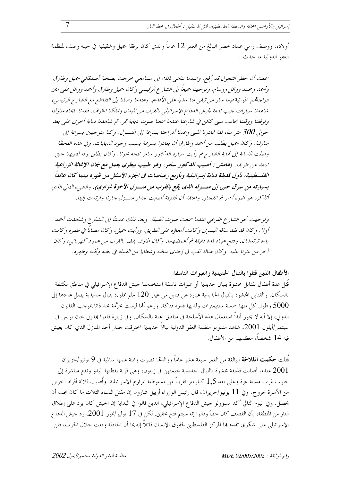أولاده. ووصف رامي عماد حضر البالغ من العمر 12 عاماً والذي كان برفقة جميل وشقيقيه في حينه وصف لمنظمة العفو الدولية ما حدث :

سمعت أن حظر التجول قد رُفع. وعندما تناهي ذلك إلى مسامعي حرجت بصحبة أصدقائي جميل وطارق وأحمد ومحمد ووائل ووسام. وتوجهنا جهيعاً إلى الشارع الرئيسي وكان جهيل وطارق وأحمد ووائل على متن دراجاتهم الهوائية فيما سار من تبقى منا مشياً على الأقدام. وعندما وصلنا إلى التقاطع مع الشارع الرئيسي، شاهدنا سيارات حيب تابعة لجيش الدفاع الإسرائيلي بالقرب من الميدان وتملكنا الخوف. فعدنا باتجاه منازلنا وتوقفنا ووقفنا بجانب مبني كائن في شارعنا عندما سمعنا صوت دبابة تمر. ثم شاهدنا دبابة أحرى على بعد حوالي 300 متر منا، لذا غادرنا المبني وعدنا أدراجنا بسرعة إلى المنسزل. وكنا متوجهين بسرعة إلى منازلنا. وكان جميل يطلب من أحمد وطارق أن يغادرا بسرعة بسبب وجود الدبابات. وفي هذه اللحظة وصلت الدبابة إلى نماية الشارع ثم رأيت سيارة الدكتور سامر تتجه نحونا. وكان يطلق بوقه لتنبيهنا حتى نبتعد عن طريقه. (هامش : أصيب اللكتور سامر، وهو طبيب بيطري يعمل مع لجان الإغاثة الزراعية الفلسطينية، بأول قليفة دبابة إسرائيلية وبأربع رصاصات في الجزء الأسفل من ظهره بينما كان عائداً بسيارته من سوق جنين إلى منسزله اللدي يقع بالقرب من منسزل الأخوة غزاوي). والشيء التالي الذي أتذكره هو ضوء أحمر ثم انفجار . واعتقد أن القنبلة أصابت حيدار منسزل حارنا وارتدت إلينا .

وتوجهت نحو الشارع الفرعي عندما سمعت صوت القنبلة. وبعد ذلك عدتُ إلى الشارع وشاهدت أحمد أولاً . وكان قد فقد سافه البيسري وكانت أمعاؤه على الطريق. ورأيت جهيل، وكان مصاباً في ظهره وكانت يداه ترتعشان. وفتح عيناه لمدة دقيقة ثم أغهضهها. وكان طارق يقف بالقرب من عمود كهربائبي، وكان آحر من عثرنا عليه. وكان هناك ثقب في إحدى ساقيه وشظايا من القنبلة في بطنه وأذنه وظهره.

#### الأطفال الذين قتلوا بالنبال الحديدية والعبوات الناسفة

قُتل عدة أطفال بقنابل محشوة بنبال حديدية أو عبوات ناسفة استخدمها حيش الدفاع الإسرائيلي في مناطق مكتظة بالسكان. والقنابل المحشوة بالنبال الحديدية عبارة عن قنابل من عيار 120 ملم مملوءة بنبال حديدية يصل عددها إلى 5000 وطول كل منها خمسة سنتيمترات ولديها قدرة فتاكة. ورغم ألها ليست محرَّمة بحد ذاتا بموحب القانون الدولي، إلا أنه لا يجوز أبداً استعمال هذه الأسلحة في مناطق آهلة بالسكان. وفي زيارة قاموا بما إلى حان يونس في سبتمبر/أيلول 2001، شاهد مندوبو منظمة العفو الدولية نبالاً حديدية اخترقت حدار أحد المنازل الذي كان يعيش فيه 14 شخصاً، معظمهم من الأطفال.

قُتلت **حكمت المللالحة** البالغة من العمر سبعة عشر عاماً ووالدتما نصرت وابنة عمها سالمية في 9 يونيو/حزيران 2001 عندما أصابت قذيفة محشوة بالنبال الحديدية خيمتهن في زيتون، وهي قرية يقطنها البدو وتقع مباشرة إلى حنوب غرب مدينة غزة وعلى بعد 1,5 كيلومتر تقريباً من مستوطنة نتزاريم الإسرائيلية. وأُصيب ثلاثة أفراد آخرين من الأسرة بجروح. وفي 11 يونيو/حزيران، قال رئيس الوزراء أرييل شارون إن مقتل النساء الثلاث ما كان يجب أن يحصل. وفي اليوم التالي أكد مسؤولو حيش الدفاع الإسرائيلي، الذين قالوا في البداية إن الجيش كان يرد على إطلاق النار من المنطقة، بأن القصف كان حطأ وقالوا إنه سيتم فتح تحقيق. لكن في 17 يوليو/تموز 2001، رد حيش الدفا ع الإسرائيلي على شكوى تقدم بما المركز الفلسطيني لحقوق الإنسان قائلاً إنه بما أن الحادثة وقعت حلال الحرب، فلن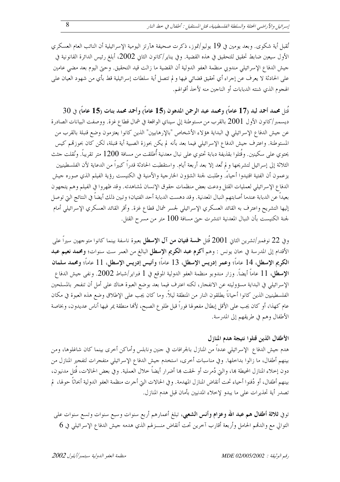تُقبل أية شكوى. وبعد يومين في 19 يوليو/تموز، ذكرت صحيفة هآرتز اليومية الإسرائيلية أن النائب العام العسكرى الأول سيعين ضابط تحقيق للتحقيق في هذه القضية. وفي يناير /كانون الثاني 2002، أبلغ رئيس الدائرة القانونية في جيش الدفاع الإسرائيلي مندوبي منظمة العفو الدولية أن القضية ما زالت قيد التحقيق. وحتى اليوم بعد مضى عامين على الحادثة لا يعرف عن إجراء أي تحقيق قضائي فيها و لم تتصل أية سلطات إسرائيلية قط بأي من شهود العيان على الهجوم الذي شنته الدبابات أو الناجين منه لأخذ أقوالهم.

 $30$  قُتل محمد أحمد لبد (17 عاماً) ومحمد عبد الرحمن المدهون (15 عاماً) وأحمد محمد بنات (15 عاماً) في  $\,$ ديسمبر/كانون الأول 2001 بالقرب من مستوطنة إلى سيناي الواقعة في شمال قطاع غزة. ووصفت البيانات الصادرة عن حيش الدفاع الإسرائيلي في البداية هؤلاء الأشخاص "بالإرهابيين" الذين كانوا يعتزمون وضع قنبلة بالقرب من المستوطنة. واعترف حيش الدفاع الإسرائيلي فيما بعد بأنه لم يكن بحوزة الصبية أية قنبلة، لكن كان بحوزقمم كيس يحتوي على سكينين. وقُتلوا بقذيفة دبابة تحتوي على نبال معدنية أُطلقت من مسافة 1200 متر تقريباً. ونُقلت حثث الثلاثة إلى إسرائيل لتشريحها و لم تُعد إلا بعد أربعة أيام. واستقطبت الحادثة قدراً كبيراً من الدعاية لأن الفلسطينيين يزعمون أن الفتية اقتيدوا أحياءً. وطلبت لجنة الشؤون الخارجية والأمنية في الكنيست رؤية الفيلم الذي صوره جيش الدفاع الإسرائيلي لعمليات القتل ودعت بعض منظمات حقوق الإنسان لمشاهدته. وقد ظهروا في الفيلم وهم يتجهون بعيداً عن الدبابة عندما أصابتهم النبال المعدنية. وقد دهست الدبابة أحد الفتيان؛ وتبين ذلك أيضاً في النتائج التي توصل إليها التشريح واعترف به القائد العسكري الإسرائيلي لجسر شمال قطاع غزة. وأقر القائد العسكري الإسرائيلي أمام لجنة الكنيست بأن النبال المعدنية انتشرت حتى مسافة 100 متر من مسرح القتل.

وفي 22 نوفمبر/تشرين الثاني 2001 قُتل **خمسة فتيان من آل الإسط**ل بعبوة ناسفة بينما كانوا متوجهين سيراً على الأقدام إلى المدرسة في حان يونس : وهم أكوم عبد الكويم الإسطل البالغ من العمر ست سنوات؛ ومحمد نعيم عبد الكريم الإسطل، 14 عاماً؛ وعمر إدريس الإسطل، 13 عاماً؛ وأنيس إدريس الإسطل، 11 عاماً؛ ومحمد سلمان الإسطل، 11 عاماً أيضاً. وزار مندوبو منظمة العفو الدولية الموقع في 1 فبراير/شباط 2002. ونفي حيش الدفاع الإسرائيلي في البداية مسؤوليته عن الانفجار، لكنه اعترف فيما بعد بوضع العبوة هناك على أمل أن تنفجر بالمسلحين الفلسطينيين الذين كانوا أحياناً يطلقون النار من المنطقة ليلاً. وما كان يجب على الإطلاق وضع هذه العبوة في مكان عام كهذا، أو كان يجب على الأقل إبطال مفعولها فوراً قبل طلو ع الصبح، لألها منطقة يمر فيها أناس عديدون، وبخاصة الأطفال وهم في طريقهم إلى المدرسة.

### الأطفال الذين قتلوا نتيجة هدم المنازل

هدم حيش الدفاع الإسرائيلي عدداً من المنازل بالجرافات في حنين ونابلس وأماكن أخرى بينما كان شاغلوها، ومن بينهم أطفال، ما زالوا بداخلها. وفي مناسبات أخرى، استخدم جيش الدفاع الإسرائيلي متفجرات لتفجير المنازل من دون إخلاء المنازل المحيطة بما، والتي دُمرت أو لحقت بما أضرار أيضاً خلال العملية. وفي بعض الحالات، قُتل مدنيون، بينهم أطفال، أو دُفنوا أحياء تحت أنقاض المنازل المهدمة. وفي الحالات التي أحرت منظمة العفو الدولية أبحاثاً حولها، لم تصدر أية تحذيرات على ما يبدو لإخلاء المدنيين بأمان قبل هدم المنازل.

توفي ثلاثة أطفال هم عبد الله وعزام وأنس الشعبي، تبلغ أعمارهم أربع سنوات وسبع سنوات وتسع سنوات على التوالي مع والدقمم الحامل وأربعة أقارب آحرين تحت أنقاض منـــزلهم الذي هدمه جيش الدفاع الإسرائيلي في 6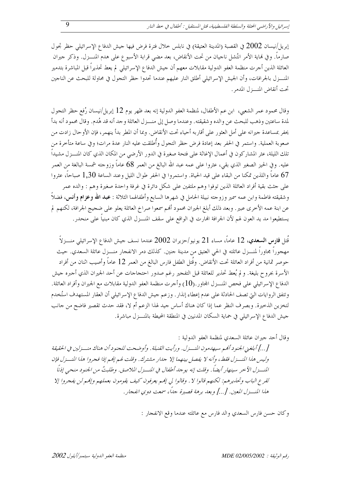إبريل/نيسان 2002 في القصبة (المدينة العتيقة) في نابلس خلال فترة فرض فيها حيش الدفاع الإسرائيلي حظر تجول صارماً. وفي نماية الأمر انتُشل ناجيان من تحت الأنقاض، بعد مضى قرابة الأسبو ع على هدم المنـــزل. وذكر جيران العائلة الذين أجرت منظمة العفو الدولية مقابلات معهم أن جيش الدفاع الإسرائيلي لم يعط تحذيراً قبل المباشرة بتدمير المنـــزل بالجرافات، وأن الجيش الإسرائيلي أطلق النار عليهم عندما تحدوا حظر التجول في محاولة للبحث عن الناجين تحت أنقاض المنسزل المدمر .

وقال محمود عمر الشعبي، ابن عم الأطفال، لمنظمة العفو الدولية إنه بعد ظهر يوم 12 إبريل/نيسان رُفع حظر التجول لمدة ساعتين وذهب للبحث عن والده وشقيقته. وعندما وصل إلى منــزل العائلة وحد أنه قد هُدم. وقال محمود أنه بدأ يحفر بمساعدة جيرانه على أمل العثور على أقاربه أحياء تحت الأنقاض. وبما أن المطر بدأ ينهمر، فإن الأوحال زادت من صعوبة العملية. واستمر في الحفر بعد إعادة فرض حظر التجول وأُطلقت عليه النار عدة مرات؛ وفي ساعة متأخرة من تلك الليلة، عثر المشاركون في أعمال الإغاثة على فتحة صغيرة في الدور الأرضى من المكان الذي كان المنـــزل مشيداً عليه. وفي الحيز الصغير الذي بقي، عثروا على عمه عبد الله البالغ من العمر 68 عاماً وزوجته شمسة البالغة من العمر 67 عاماً واللذين تمكنا من البقاء على قيد الحياة. واستمروا في الحفر طوال الليل وعند الساعة 1,30 صباحاً، عثروا على حثث بقية أفراد العائلة الذين توفوا وهم ملتفين على شكل دائرة في غرفة واحدة صغيرة وهم : والده عمر وشقيقته فاطمة وابن عمه سمير وزوجته نبيلة الحامل في شهرها السابع وأطفالهما الثلاثة : عبد الله وعزام وأنس، فضلاً عن ابنة عمه الأخرى عبير. وبعد ذلك أبلغ الجيران محمود ألهم سمعوا صراخ العائلة يعلو على ضجيج الجرافة، لكنهم لم يستطيعوا مد يد العون لهم لأن الجرافة الهارت في الواقع على سقف المنـــزل الذي كان مبنياً على منحدر .

قُتل **فارس السعدي**، 12 عاماً، مساء 21 يونيو/حزيران 2002 عندما نسف حيش الدفاع الإسرائيلي منـــزلاً مهجوراً مجاوراً لمنـــزل عائلته في الحي العتيق من مدينة جنين. كذلك دمر الانفجار منـــزل عائلة السعدي. حيث حوصر ثمانية من أفراد العائلة تحت الأنقاض. وقُتل الطفل فارس البالغ من العمر 12 عاماً وأصيب اثنان من أفراد الأسرة بجروح بليغة. و لم يُعط تحذير للعائلة قبل التفجير رغم صدور احتجاجات عن أحد الجيران الذي أحبره حيش الدفاع الإسرائيلي على فحص المنـــزل المحاور.(10) وأحرت منظمة العفو الدولية مقابلات مع الجيران وأفراد العائلة. وتتفق الروايات التي تصف الحادثة على عدم إعطاء إنذار . وزعم جيش الدفاع الإسرائيلي أن العقار المستهدف استُخدم لتخزين الذخيرة. وبصرف النظر عما إذا كان هناك أساس جيد لهذا الزعم أم لا، فقد حدث تقصير فاضح من حانب حيش الدفاع الإسرائيلي في حماية السكان المدنيين في المنطقة المحيطة بالمنسـزل مباشرة.

وقال أحد جيران عائلة السعدي لمنظمة العفو الدولية :

[…] أبلغني الجنود ألهم سيهدمون المنــزل. ورأيت القنبلة. وأوضحت للجنود أن هناك منــزلين في الحقيقة وليس هذا النسزل فقط، وأنه لا يفصل بينهما إلا جدار مشترك. وقلت لهم إنهم إذا فجروا هذا المنسزل فإن المنسـزل الآخر سينـهار أيضاً. وقلت إنه يوجد أطفال في المنــزل الملاصق. وطلبتُ من الجنود منحي إذناً لقرع الباب وتحذيرهم: لكنهم قالوا لا . وقالوا لي إفهم يعرفون كيف يقومون بعملهم وإفهم لن يفجروا إلا هذا المنسزل المعين. […] و بعد برهة قصيرة جداً، سمعت دوى انفجار .

وكان حسن فارس السعدي والد فارس مع عائلته عندما وقع الانفجار :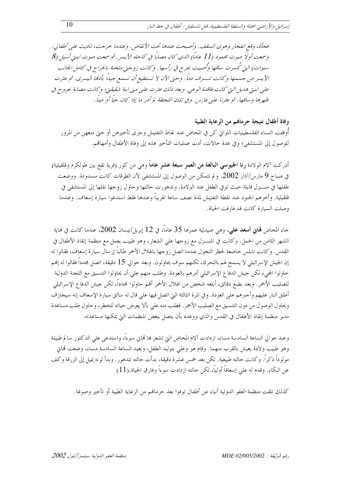فجأة، وقع انفجار وهوى السقف. وأصبحت عندها تحت الأنقاض. وعندما حرجت، ناديت على أطفالي. وسمعت أولاً صوت محمود (11 عاماً) الذي كان مصاباً في كاحله الأيسر. ثم سمعت صوت ابنتي أسيل (8 سنوات) التي كُسرت ساقها وأُصيبت بجرح في رأسها. وكانت زوجتي مثخنة بالجراح في كامل الجانب الأيسر من جسمها وكانت تنــزف دماً. وحتى الآن لا تستطيع أن تسمع جيداً بأذمًا اليسرى. ثم عثرت على ابنتي هديل التي كانت فاقدة الوعبي. وبعد ذلك عثرت على مني ابنة شقيقتي؛ وكانت مصابة بجروح في ظهرها وساقها. ثم عثرنا على فارس. وفي تلك اللحظة لم أدر ما إذا كان حياً أو ميتاً.

وفاة أطفال نتيجة حرمالهم من الرعاية الطبية أوقفت النساء الفلسطينيات اللواتي كن في المخاض عند نقاط التفتيش وحرى تأخيرهن أو حتى منعهن من المرور للوصول إلى المستشفى؛ وفي عدة حالات، أدت عمليات التأخير هذه إلى وفاة الأطفال وأمهاقم.

أدركت آلام الولادة **رنا الجيوسي البالغة من العمر سبعة عشر عاماً** وهي من كور (قرية تقع بين طولكرم وقلقيلية) في صباح 9 مارس/آذار 2002. و لم تتمكن من الوصول إلى المستشفى لأن الطرقات كانت مسدودة. ووضعت طفلها في منـــزل قابلة حيث توفي الطفل عند الولادة. وتدهورت حالتها وحاول زوجها نقلها إلى المستشفى في قلقيلية. وأخرهم الجنود عند نقطة التفتيش لمدة نصف ساعة تقريباً وعندها فقط استدعوا سيارة إسعاف. وعندما وصلت السيارة كانت قد فارقت الحياة.

حاء المخاض **لهاني أسعد علي**، وهي صيدلية عمرها 35 عاماً، في 12 إبريل/نيسان 2002، عندما كانت في نماية الشهر الثامن من الحمل. وكانت في المنـــزل مع زوجها على الشعار، وهو طبيب يعمل مع منظمة إنقاذ الأطفال في القدس. وكانت نابلس حاضعة لحظر التجول عندما اتصل زوجها بالهلال الأحمر طالباً إرسال سيارة إسعاف، فقالوا له إن الجيش الإسرائيلي لا يسمح لهم بالتحرك، لكنهم سوف يحاولون. وبعد حوالي 15 دقيقة، اتصل بحدداً فقالوا له إنهم حاولوا المحيء لكن حيش الدفاع الإسرائيلي أمرهم بالعودة. وطلب منهم على أن يحاولوا التنسيق مع اللحنة الدولية للصليب الأحمر. وبعد بضع دقائق، أبلغه شخص من الهلال الأحمر ألهم حاولوا مجدداً، لكن حيش الدفاع الإسرائيلي أطلق النار عليهم وأحبرهم على العودة. وفي المرة الثالثة التي اتصل فيها على قال له سائق سيارة الإسعاف إنه سيجازف ويحاول الوصول من دون التنسيق مع الصليب الأحمر. فطلب منه على بألا يعرض حياته للخطر، وحاول طلب مساعدة مدير منظمة إنقاذ الأطفال في القدس والذي ووعده بأن يتصل ببعض المنظمات التي يمكنها مساعدته.

وعند حوالي الساعة السادسة مساء، ازدادت آلام المخاض التي تشعر ها تماني سوءاً، واستدعى على الدكتور سالم طبيلة وهو طبيب ولادة يعيش بالقرب منهما. وقام هو وعلى بتوليد الطفل، وبعيد الساعة السادسة مساء، وضعت تماين مولوداً ذكراً. وكانت حالته طبيعية. لكن بعد خمس عشرة دقيقة، بدأت حالته تتدهور . وبدأ لونه يميل إلى الزرقة وكف عن البكاء. وقدم له علمي إسعافاً أولياً، لكن حالته ازدادت سوءاً وفارق الحياة.(11)

كذلك تلقت منظمة العفو الدولية أنباء عن أطفال توفوا بعد حرمالهم من الرعاية الطبية أو تأخير وصولها.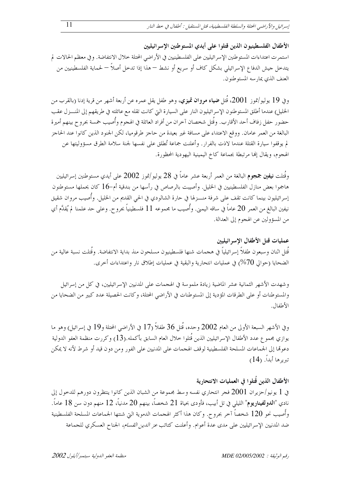الأطفال الفلسطينيون الذين قتلوا على أيدي المستوطنين الإسرائيليين استمرت اعتداءات المستوطنين الإسرائيليين على الفلسطينيين في الأراضي المحتلة خلال الانتفاضة. و في معظم الحالات لم يتدخل جيش الدفاع الإسرائيلي بشكل كاف أو سريع أو نشط — هذا إذا تدخل أصلاً — لحماية الفلسطينيين من العنف الذي يمارسه المستوطنون.

وفي 19 يوليو/تموز 2001، قُتل ضياء مروان تميزي، وهو طفل يقل عمره عن أربعة أشهر من قرية إدنا (بالقرب من الخليل) عندما أطلق المستوطنون الإسرائيليون النار على السيارة التي كانت تقله مع عائلته في طريقهم إلى المنسزل عقب حضور حفل زفاف أحد الأقارب. وقُتل شخصان آخران من أفراد العائلة في الهجوم وأُصيب خمسة بجروح بينهم أميرة البالغة من العمر عامان. ووقع الاعتداء على مسافة غير بعيدة من حاجز طرقوميا، لكن الحنود الذين كانوا عند الحاجز لم يوقفوا سيارة القتلة عندما لاذت بالفرار. وأعلنت جماعة تُطلق على نفسها لجنة سلامة الطرق مسؤوليتها عن الهجوم، ويقال إنها مرتبطة بجماعة كاخ اليمينية اليهودية المحظورة.

وقُتلت **نيفين جمجوم** البالغة من العمر أربعة عشر عاماً في 28 يوليو /تموز 2002 على أيدي مستوطنين إسرائيليين هاجموا بعض منازل الفلسطينيين في الخليل. وأصيبت بالرصاص في رأسها من بندقية أم–16 كان يحملها مستوطنون إسرائيليون بينما كانت تقف على شرفة منـــزلها في حارة الشالودي في الحي القديم من الخليل. وأُصيب مروان شقيق نيفين البالغ من العمر 20 عاماً في ساقه اليمني. وأُصيب ما مجموعه 11 فلسطينياً بجرو ح. وعلى حد علمنا لم يُقدَّم أي من المسؤولين عن الهجوم إلى العدالة.

عمليات قتل الأطفال الإسرائيليين قُتل اثنان وسبعون طفلاً إسرائيلياً في هجمات شنها فلسطينيون مسلحون منذ بداية الانتفاضة. وقُتلت نسبة عالية من الضحايا (حوالي 70%) في عمليات انتحارية والبقية في عمليات إطلاق نار واعتداءات أحرى.

وشهدت الأشهر الثمانية عشر الماضية زيادة ملموسة في الهجمات على المدنيين الإسرائيليين، في كل من إسرائيل والمستوطنات أو على الطرقات المؤدية إلى المستوطنات في الأراضي المحتلة، وكانت الحصيلة عدد كبير من الضحايا من الأطفال.

وفي الأشهر السبعة الأولى من العام 2002 وحده، قُتل 36 طفلاً (17 في الأراضي المحتلة و19 في إسرائيل) وهو ما يوازي مجموع عدد الأطفال الإسرائيليين الذين قُتلوا حلال العام السابق بأكمله.(13) وكررت منظمة العفو الدولية دعوها إلى الجماعات المسلحة الفلسطينية لوقف الهجمات على المدنيين على الفور ومن دون قيد أو شرط لأنه لا يمكن تيريرها أبداً. (14)

### الأطفال الذين قُتلوا في العمليات الانتحارية

في 1 يونيو/حزيران 2001 فجر انتحاري نفسه وسط مجموعة من الشبان الذين كانوا ينتظرون دورهم للدحول إلى نادي "ا**لدولفيناريوم**" الليلي في تل أبيب، فأودى بحياة 21 شخصاً، بينهم 20 مدنياً، 12 منهم دون سن 18 عاماً. وأُصيب نحو 120 شخصاً آخر بجروح. وكان هذا أكثر الهجمات الدموية التي شنتها الجماعات المسلحة الفلسطينية ضد المدنيين الإسرائيليين على مدى عدة أعوام. وأعلنت كتائب *عز الدين القسام،* الجناح العسكر ي للجماعة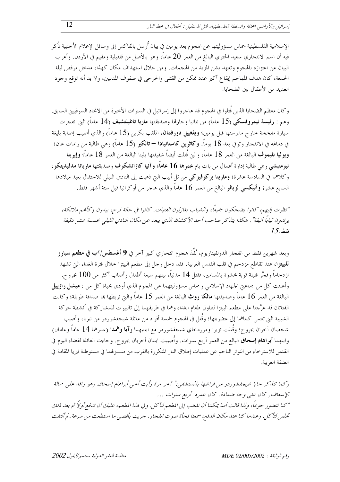الإسلامية الفلسطينية حماس مسؤوليتها عن الهجوم بعد يومين في بيان أُرسل بالفاكس إلى وسائل الإعلام الأجنبية ذُكر فيه أن اسم الانتحاري سعيد الحتري البالغ من العمر 20 عاماً، وهو بالأصل من قلقيلية ومقيم في الأردن. وأعرب البيان عن اعتزازه بالهجوم وتعهد بشن المزيد من الهجمات. ومن حلال استهداف مكان كهذا، مدحل مرقص ليلة الجمعة، كان هدف المهاجم إيقاع أكبر عدد ممكن من القتلى والجرحى في صفوف المدنيين، ولا بد أنه توقع وحود العديد من الأطفال بين الضحايا.

وكان معظم الضحايا الذين قُتلوا في الهجوم قد هاجروا إلى إسرائيل في السنوات الأخيرة من الاتحاد السوفييتي السابق. وهم : رئيسة نيمروفسكي (15 عاماً) من نتانيا وحارقما وصديقتها ماريا تاغيلتشيف (14 عاماً) التي انفجرت سيارة مفخخة خارج مدرستها قبل يومين؛ **ويفغيني دورفمان**، الملقب بكرين (15 عاماً) والذي أصيب إصابة بليغة في دماغه في الانفجار وتوفي بعد 18 يوماً. **وكاثرين كاستانيادا — تالك**ير (15 عاماً) وهي طالبة من رامات غان؛ ويوليا نليموف البالغة من العمر 18 عاماً، والتي قُتلت أيضاً شقيقتها يلينا البالغة من العمر 18 عاماً؛ وإيوينا نبومنبشي وهي طالبة إدارة أعمال من بات يام عمرها 16 عاماً؛ وآنيا كازاتشكوف وصديقتها ماريانا مدفيدينكو، وكلاهما في السادسة عشرة؛ **ومارينا بركوفيزكي** من تل أبيب التي ذهبت إلى النادي الليلي للاحتفال بعيد ميلادها السابع عشر؛ وأليكسي لوبالو البالغ من العمر 16 عاماً والذي هاجر من أوكرانيا قبل ستة أشهر فقط.

"نظرت إليهم، كانوا يضحكون جميعًا، والشباب يغازلون الفتيات. كانوا في حالة فرح، يبدون وكألهم ملائكة، يرتدون ثياباً أنيقة" . هكذا يتذكر صاحب أحد الأكشاك الذي يبعد عن مكان النادي الليلي بخمسة عشر دقيقة  $15.$ فقط

وبعد شهرين فقط من انفجار الدولفيناريوم، نُفَذ هجوم انتحاري كبير آخر في **9 أغسطس/آب في مطعم سبارو للبيتزا**، عند تقاطع مزدحم في قلب القدس الغربية. فقد دخل رحل إلى مطعم البيتزا خلال فترة الغداء التي تشهد ازدحاماً وفجَّر قنبلة قوية محشوة بالمسامير، فقتل 14 مدنياً، بينهم سبعة أطفال وأصاب أكثر من 100 بجروح. وأعلنت كل من جماعتي الجهاد الإسلامي وحماس مسؤوليتهما عن الهجوم الذي أودي بحياة كل من : **ميشل رازييل** البالغة من العمر 16 عاماً وصديقتها **مالكا روث** البالغة من العمر 15 عاماً والتي تربطها هما صداقة طويلة؛ وكانت الفتاتان قد عرَّجتا على مطعم البيتزا لتناول طعام الغداء وهما في طريقهما إلى تالبيوت للمشاركة في أنشطة حركة الشبيبة التي تنتمي كلتاهما إلى عضويتها؛ وقُتل في الهجوم خمسة أفراد من عائلة شيحفشوردر من نيريا، وأصيب شخصان آخران بجروح؛ وقُتلت تزيرا وموردخاي شيجفشوردر مع ابنتيهما رآيا وهمدا (عمرهما 14 عاماً وعامان) وابنهما **أبراهام إسحاق** البالغ من العمر أربع سنوات. وأُصيبت ابنتان أخريان بجروح. وجاءت العائلة لقضاء اليوم في القدس للاسترخاء من التوتر الناجم عن عمليات إطلاق النار المتكررة بالقرب من منـــزلهما في مستوطنة نيريا المقامة في الضفة الغربية.

وكها تتذكر حايا شيجفشوردر من فراشها بالمستشفين" آحر مرة رأيت أحبى أبراهام إسحاق وهو راقد على حمالة الإسعاف, كان على وجه ضمادة. كان عمره أربع سنوات ... "كنا نتضور جوعاً، ولذا قالت أمنا يمكننا أن نذهب إلى المطعم لنأكل. وفي هذا المطعم، عليك أن تدفع أولاً ثم بعد ذلك تجلس لتأكل. وعندما كنا عند مكان الدفع، سمعنا فجأة صوت انفجار . جريت بأقصى ما استطعت من سرعة . لم ألتفت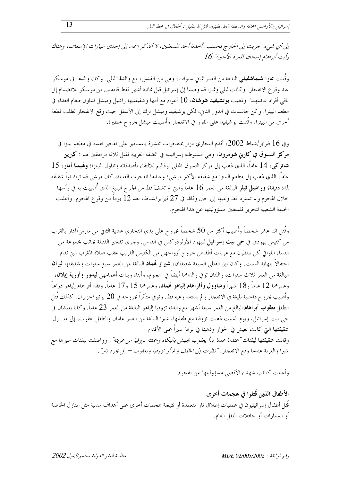إلى أي شهيء. جريت إلى الخارج فحسب. أحلنا أحد المسعفين، لا أتلدكر اسمه، إلى إحدى سيارات الإسعاف، وهناك  $16$ . أيت أبراهام إسحاق للمرة الأحيرة".

وقُتلت **تمارا شيماشفيلي** البالغة من العمر ثماني سنوات، وهي من القدس، مع والدمّا ليلي. وكان والدها في موسكو عند وقوع الانفجار. وكانت ليلي وتمارا قد وصلتا إلى إسرائيل قبل ثمانية أشهر فقط قادمتين من موسكو للانضمام إلى باقي أفراد عائلتهما. وذهبت **يوتشيفيد شوشان**، 10 أعوام مع أمها وشقيقتيها راشيل وميشل لتناول طعام الغداء في مطعم البيتزا. وكن حالسات في الدور الثاني، لكن يوشيفيد وميشل نزلتا إلى الأسفل حيث وقع الانفحار لطلب قطعة أخرى من البيتزا. وقُتلت يوشيفيد على الفور في الانفجار وأُصيبت ميشل بجروح خطيرة.

وفي 16 فبراير/شباط 2002، أقدم انتحاري مزنر بمتفجرات محشوة بالمسامير على تفجير نفسه في مطعم بيتزا في مركز التسوق في كارني شومرون، وهي مستوطنة إسرائيلية في الضفة الغربية فقتل ثلاثة مراهقين هم : كيرين شاتزكي، 14 عاماً، الذي ذهب إلى مركز التسوق المحلي يوفاليم للالتقاء بأصدقائه وتناول البيتزا؛ وفميميا أمار، 15 عاماً، الذي ذهب إلى مطعم البيتزا مع شقيقه الأكبر موشى؛ وعندما انفجرت القنبلة، كان موشى قد ترك تواً شقيقه لمدة دقيقة؛ **وراشيل ثيلو** البالغة من العمر 16 عاماً والتي لم تشفَ قط من الجرح البليغ الذي أُصيبت به في رأسها خلال الهجوم و لم تسترد قط وعيها إلى حين وفاتما في 27 فبراير/شباط، بعد 12 يوماً من وقوع الهجوم. وأعلنت الجبهة الشعبية لتحرير فلسطين مسؤوليتها عن هذا الهجوم.

وقُتل اثنا عشر شخصاً وأُصيب أكثر من 50 شخصاً بجروح على يدي انتحاري عشية الثاني من مارس/آذار بالقرب من كنيس يهودي في حي بيت إسرائيل لليهود الأرثوذوكس في القدس. وحرى تفجير القنبلة بجانب مجموعة من النساء اللواتي كن ينتظرن مع عربات أطفالهن حروج أزواجهن من الكنيس القريب عقب صلاة المغرب التي تقام احتفالاً بنهاية السبت. وكان بين القتلي السبعة شقيقتان، **شيراز نمماد** البالغة من العمر سبع سنوات وشقيقتها **ليران** البالغة من العمر ثلاث سنوات، واللتان توفي والداهما أيضاً في الهجوم، وأبناء وبنات أعمامهن **ليدور وأورية إيلان**، وعمرهما 12 عاماً و18 شهراً وشاوول وأفراهام إلياهو فمماد، وعمرهما 15 و17 عاماً. وفقد أفراهام إلياهو ذراعاً وأُصيب بجرو ح داخلية بليغة في الانفجار و لم يستعد وعيه قط. وتوفي متأثراً بجروحه في 20 يونيو/حزيران. كذلك قُتل الطفل **يعقوب أبراهام** البالغ من العمر سبعة أشهر مع والدته تزوفيا إلياهو البالغة من العمر 23 عاماً. وكانا يعيشان في حي بيت إسرائيل، ويوم السبت ذهبت تزوفيا مع طفليها، شيرا البالغة من العمر عامان والطفل يعقوب، إلى منـــزل شقيقتها التي كانت تعيش في الجوار وذهبتا في نزهة سيراً على الأقدام.

وقالت شقيقتها ليفنات *"عندما عدنا بدأ يعقوب يجهش بالبكاء وحملته تزوفيا من عربته" .* وواصلت ليفنات سيرها مع شيرا والعربة عندما وقع الانفحار . *"نظرت إلى الخلف و لم أر تزوفيا ويعقوب – بل مجرد نار" .* 

وأعلنت كتائب شهداء الأقصى مسؤوليتها عن الهجوم.

# الأطفال الذين قُتلوا في هجمات أخرى

قُتل أطفال إسرائيليون في عمليات إطلاق نار متعمدة أو نتيجة هجمات أخرى على أهداف مدنية مثل المنازل الخاصة أو السيارات أو حافلات النقل العام.

*بقه الوثيقة : 2005/2002 MDE* 

منظهة العفو اللهولية يستعبر/أبلول 2002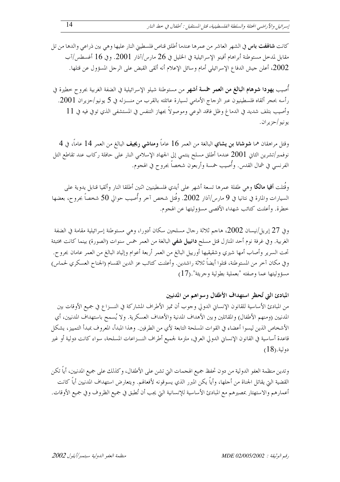كانت **شاهٰفت باس** في الشهر العاشر من عمرها عندما أطلق قناص فلسطيني النار عليها وهي بين ذراعي والدها من تل مقابل لمدخل مستوطنة أبراهام أفينو الإسرائيلية في الخليل في 26 مارس/آذار 2001. وفي 16 أغسطس/آب 2002، أعلن جيش الدفاع الإسرائيلي أمام وسائل الإعلام أنه ألقبي القبض على الرجل المسؤول عن قتلها.

أصيب **يهودا شوهام البالغ من العمر حمسة أشهر** من مستوطنة شيلو الإسرائيلية في الضفة الغربية بجروح خطيرة في رأسه بحجر ألقاه فلسطينيون عبر الزجاج الأمامي لسيارة عائلته بالقرب من منـــزله في 5 يونيو/حزيران 2001. وأصيب بتلف شديد في الدماغ وظل فاقد الوعي وموصولاً بجهاز التنفس في المستشفى الذي توفي فيه في 11 يو نيو /حز ير ان .

وقتل مراهقان هما **شوشانا بن يشاي** البالغة من العمر 16 عاماً **ومناشي ريجيف** البالغ من العمر 14 عاماً، في 4 نوفمبر/تشرين الثاني 2001 عندما أطلق مسلح ينتمي إلى الجهاد الإسلامي النار على حافلة ركاب عند تقاطع التل الفرنسي في شمال القدس. وأُصيب خمسة وأربعون شخصاً بجروح في الهجوم.

وقُتلت أ**فيا مالكا** وهي طفلة عمرها تسعة أشهر على أيدي فلسطينيين اثنين أطلقا النار وألقيا قنابل يدوية على السيارات والمارة في نتانيا في 9 مارس/آذار 2002. وقُتل شخص آخر وأُصيب حوالي 50 شخصاً بجروح، بعضها خطرة. وأعلنت كتائب شهداء الأقصى مسؤوليتها عن الهجوم.

وفي 27 إبريل/نيسان 2002، هاجم ثلاثة رحال مسلحين سكان أدورا، وهي مستوطنة إسرائيلية مقامة في الضفة الغربية. وفي غرفة نوم أحد المنازل قتل مسلح **دانييل شفي** البالغة من العمر خمس سنوات (الصورة) بينما كانت مختبئة تحت السرير وأصاب أمها شيري وشقيقيها أورييل البالغ من العمر أربعة أعوام وإلياد البالغ من العمر عامان بجرو ح. وفي مكان آخر من المستوطنة، قتلوا أيضاً ثلاثة راشدين. وأعلنت كتائب عز الدين القسام (الجناح العسكري لحماس) مسؤوليتها عما وصفته "بعملية بطولية وجريئة".(17)

المبادئ التي تُحظرِ استهداف الأطفال وسواهم من المدنيين

من المبادئ الأساسية للقانون الإنسان الدولي وحوب أن تميز الأطراف المشاركة في النـــزاع في جميع الأوقات بين المدنيين (ومنهم الأطفال) والمقاتلين وبين الأهداف المدنية والأهداف العسكرية. ولا يُسمح باستهداف المدنيين، أي الأشخاص الذين ليسوا أعضاء في القوات المسلحة التابعة لأي من الطرفين. وهذا المبدأ، المعروف بمبدأ التمييز، يشكل قاعدة أساسية في القانون الإنساني الدولي العرفي، ملزمة لجميع أطراف النـــزاعات المسلحة، سواء كانت دولية أو غير  $(18)$ .دولية

وتدين منظمة العفو الدولية من دون تحفظ جميع الهجمات التي تشن على الأطفال، وكذلك على جميع المدنيين، أياً تكن القضية التي يقاتل الجناة من أحلها، وأياً يكن المبرر الذي يسوقونه لأفعالهم. ويتعارض استهداف المدنيين أياً كانت أعمارهم والاستهتار عصيرهم مع المبادئ الأساسية للإنسانية التي يجب أن تُطبق في جميع الظروف وفي جميع الأوقات.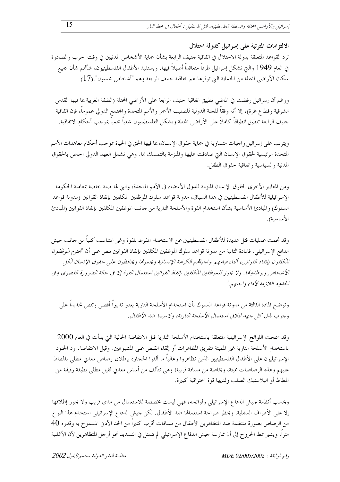الالتز امات المترتبة على إسرائيل كدولة احتلال ترد القواعد المتعلقة بدولة الاحتلال في اتفاقية جنيف الرابعة بشأن حماية الأشخاص المدنيين في وقت الحرب والصادرة في العام 1949 والتي تشكل إسرائيل طرفاً متعاقداً أصيلاً فيها. ويستفيد الأطفال الفلسطينيون، شألهم شأن جميع سكان الأراضي المحتلة من الحماية التي توفرها لهم اتفاقية حنيف الرابعة وهم "أشخاص محميون".(17)

ورغم أن إسرائيل رفضت في الماضي تطبيق اتفاقية حنيف الرابعة على الأراضي المحتلة (الضفة الغربية بما فيها القدس الشرقية وقطاع غزة)، إلا أنه وفقاً للجنة الدولية للصليب الأحمر والأمم المتحدة والمحتمع الدولي عموماً، فإن اتفاقية جنيف الرابعة تنطبق انطباقاً كاملاً على الأراضي المحتلة ويشكل الفلسطينيون شعباً محمياً بموجب أحكام الاتفاقية.

ويترتب على إسرائيل واجبات متساوية في حماية حقوق الإنسان، بما فيها الحق في الحياة بموجب أحكام معاهدات الأمم المتحدة الرئيسية لحقوق الإنسان التي صادقت عليها والملزمة بالتمسك ها. وهي تشمل العهد الدولي الخاص بالحقوق المدنية والسياسية واتفاقية حقوق الطفل.

ومن المعايير الأخرى لحقوق الإنسان الملزمة للدول الأعضاء في الأمم المتحدة، والتي لها صلة خاصة بمعاملة الحكومة الإسرائيلية للأطفال الفلسطينيين في هذا السياق، مدونة قواعد سلوك الموظفين المكلفين بإنفاذ القوانين (مدونة قواعد السلوك) والمبادئ الأساسية بشأن استخدام القوة والأسلحة النارية من حانب الموظفين المكلفين بإنفاذ القوانين (المبادئ الأساسية).

وقد نحمت عمليات قتل عديدة للأطفال الفلسطينيين عن الاستخدام المفرط للقوة وغير المتناسب كلياً من حانب حيش الدافع الإسرائيلي. فالمادة الثانية من مدونة قواعد سلوك الموظفين المكلفين بإنفاذ القوانين تنص على أن "يحت*رم الموظفون* المكلفون بإنفاذ القوانين، أثناء قيامهم بواجباقمم الكرامة الإنسانية ويحموها ويحافظون على حقوق الإنسان لكل الأ شخاص ويوطدونما . ولا يجوز لليموظفين المكلفين بإنفاذ القوانين استعمال القوة إلا في حالة الضرورة القصوى وفي الحلهود اللازمة لأداء واحبهم."

وتوضح المادة الثالثة من مدونة قواعد السلوك بأن استخدام الأسلحة النارية يعتبر تدبيراً أقصى وتنص تحديداً على و جو ب بذل كل حهد لتلافي استعمال الأسلحة النارية، ولا سيما ضد الأطفال.

 $\,2000\,$ وقد سمحت اللوائح الإسرائيلية المتعلقة باستخدام الأسلحة النارية قبل الانتفاضة الحالية التي بدأت في العام باستخدام الأسلحة النارية غير المميتة لتفريق المظاهرات أو إلقاء القبض على المشبوهين. وقبل الانتفاضة، رد الجنود الإسرائيليون على الأطفال الفلسطينيين الذين تظاهروا وغالباً ما ألقوا الحجارة بإطلاق رصاص معدني مطلبي بالمطاط عليهم وهذه الرصاصات مميتة، وبخاصة من مسافة قريبة؛ وهي تتألف من أساس معدني ثقيل مطلى بطبقة رقيقة من المطاط أو البلاستيك الصلب ولديها قوة اختراقية كبيرة.

وبحسب أنظمة جيش الدفاع الإسرائيلي ولوائحه، فهي ليست مخصصة للاستعمال من مدى قريب ولا يجوز إطلاقها إلا على الأطراف السفلية. ويحظر صراحة استعمالها ضد الأطفال. لكن جيش الدفاع الإسرائيلي استخدم هذا النوع من الرصاص بصورة منتظمة ضد المتظاهرين الأطفال من مسافات أقرب كثيراً من الحد الأدبي المسموح به وقدره 40 متراً، ويشير نمط الجروح إلى أن ممارسة حيش الدفاع الإسرائيلي لم تتمثل في التسديد نحو أرحل المتظاهرين لأن الأغلبية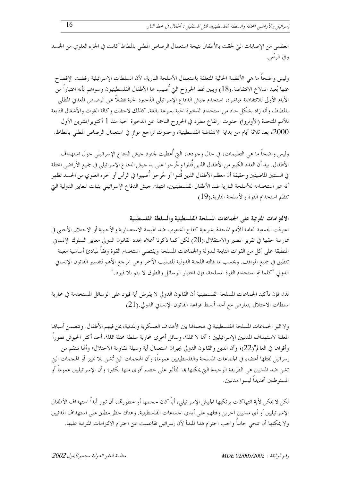العظمى من الإصابات التي لحقت بالأطفال نتيجة استعمال الرصاص المطلي بالمطاط كانت في الجزء العلوي من الجسد و في الرأس.

وليس واضحاً ما هي الأنظمة الحالية المتعلقة باستعمال الأسلحة النارية، لأن السلطات الإسرائيلية رفضت الإفصاح عنها بُعيد اندلاع الانتفاضة.(18) ويبين نمط الجروح التي أُصيب ها الأطفال الفلسطينيون وسواهم بأنه اعتباراً من الأيام الأولى للانتفاضة مباشرة، استخدم جيش الدفاع الإسرائيلي الذخيرة الحية فضلاً عن الرصاص المعدني المطلي بالمطاط، وأنه زاد بشكل حاد من استخدام الذخيرة الحية بسرعة بالغة. كذلك لاحظت وكالة الغوث والأشغال التابعة للأمم المتحدة (الأونروا) حدوث ارتفاع مطرد في الجروح الناجمة عن الذحيرة الحية منذ 1 أكتوبر/تشرين الأول 2000، بعد ثلاثة أيام من بداية الانتفاضة الفلسطينية، وحدوث تراجع مواز في استعمال الرصاص المطلي بالمطاط.

وليس واضحاً ما هي التعليمات، في حال وجودها، التي أُعطيت لجنود جيش الدفاع الإسرائيلي حول استهداف الأطفال. بيد أن العدد الكبير من الأطفال الذين قُتلوا وجُرحوا على يد حيش الدفاع الإسرائيلي في جميع الأراضي المحتلة في السنتين الماضيتين وحقيقة أن معظم الأطفال الذين قُتلوا أو جُرحوا أُصيبوا في الرأس أو الجزء العلوي من الجسد تظهر أنه عبر استخدامه للأسلحة النارية ضد الأطفال الفلسطينيين، انتهك جيش الدفاع الإسرائيلي بثبات المعايير الدولية التي تنظم استخدام القوة والأسلحة النارية.(19)

الالتزامات المترتبة على الجماعات المسلحة الفلسطينية والسلطة الفلسطينية اعترفت الجمعية العامة للأمم المتحدة بشرعية كفاح الشعوب ضد الهيمنة الاستعمارية والأحنبية أو الاحتلال الأحنبي في ممارسة حقها في تقرير المصير والاستقلال.(20) لكن كما ذكرنا أعلاه يحدد القانون الدولي معايير السلوك الإنساني المنطبقة على كل من القوات التابعة للدولة والجماعات المسلحة ويقتضى استخدام القوة وفقاً لمبادئ أساسية معينة تنطبق في جميع المواقف. وبحسب ما قالته اللجنة الدولية للصليب الأحمر وهي المرجع الأهم لتفسير القانون الإنساني الدولي "كلما تم استخدام القوة المسلحة، فإن اختيار الوسائل والطرق لا يتم بلا قيود."

لذا، فإن تأكيد الجماعات المسلحة الفلسطينية أن القانون الدولى لا يفرض أية قيود على الوسائل المستخدمة في محاربة سلطات الاحتلال يتعارض مع أحد أبسط قواعد القانون الإنساني الدولي.(21)

ولا تميز الجماعات المسلحة الفلسطينية في هجماها بين الأهداف العسكرية والمدنية، عن فيهم الأطفال. وتتضمن أسباها المعلنة لاستهداف المدنيين الإسرائيليين : ألها لا تملك وسائل أحرى لمحاربة سلطة محتلة تملك أحد أكثر الجيوش تطوراً وأقواها في العالم"(22)؛ وأن الدين والقانون الدولي يجيزان استعمال أية وسيلة لمقاومة الاحتلال؛ وألها تنتقم من إسرائيل لقتلها أعضاء في الجماعات المسلحة والفلسطينيين عموماً؛ وأن الهجمات التي تُشن بلا تمييز أو الهجمات التي تشن ضد المدنيين هي الطريقة الوحيدة التي يمكنها ها التأثير على خصم أقوى منها بكثير؛ وأن الإسرائيليين عموماً أو المستوطنين تحديداً ليسوا مدنيين.

لكن لا يمكن لأية انتهاكات يرتكبها الجيش الإسرائيلي، أياً كان حجمها أو خطورقما، أن تبرر أبداً استهداف الأطفال الإسرائيليين أو أي مدنيين آحرين وقتلهم على أيدي الجماعات الفلسطينية. وهناك حظر مطلق على استهداف المدنيين ولا يمكنها أن تنحى حانباً واحب احترام هذا المبدأ لأن إسرائيل تقاعست عن احترام الالتزامات المترتبة عليها.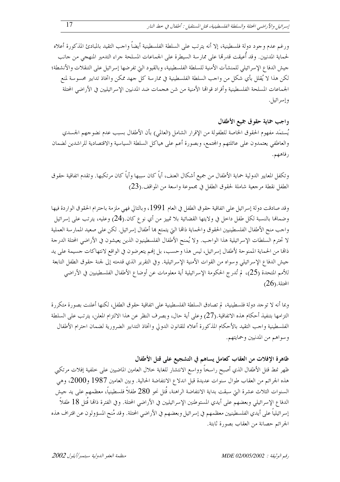ورغم عدم وجود دولة فلسطينية، إلا أنه يترتب على السلطة الفلسطينية أيضاً واحب التقيد بالمبادئ المذكورة أعلاه لحماية المدنيين. وقد أُعيقت قدرها على ممار سة السيطرة على الجماعات المسلحة جراء التدمير المنهجي من حانب جيش الدفاع الإسرائيلي للمنشآت الأمنية للسلطة الفلسطينية، وبالقيود التي تفرضها إسرائيل على التنقلات والأنشطة؛ لكن هذا لا يُقلل بأي شكل من واحب السلطة الفلسطينية في ممارسة كل حهد ممكن واتخاذ تدابير محسوسة لمنع الجماعات المسلحة الفلسطينية وأفراد قواقما الأمنية من شن هجمات ضد المدنيين الإسرائيليين في الأراضى المحتلة وإسرائيل.

### واجب حماية حقوق جميع الأطفال

يُستمَد مفهوم الحقوق الخاصة للطفولة من الإقرار الشامل (العالمي) بأن الأطفال بسبب عدم نضوجهم الجسدي والعاطفي يعتمدون على عائلتهم والمحتمع، وبصورة أعم على هياكل السلطة السياسية والاقتصادية للراشدين لضمان ر فاهيم.

وتكفل المعايير الدولية حماية الأطفال من جميع أشكال العنف، أياً كان سببها وأياً كان مرتكبها. وتقدم اتفاقية حقوق الطفل نقطة مرحعية شاملة لحقوق الطفل في مجموعة واسعة من المواقف.(23)

وقد صادقت دولة إسرائيل على اتفاقية حقوق الطفل في العام 1991، وبالتالي فهي ملزمة باحترام الحقوق الواردة فيها وضمالها بالنسبة لكل طفل داحل في ولايتها القضائية بلا تمييز من أي نوع كان.(24) وعليه، يترتب على إسرائيل واحب منح الأطفال الفلسطينيين الحقوق والحماية ذاقما التي يتمتع ها أطفال إسرائيل. لكن على صعيد الممارسة العملية لا تحترم السلطات الإسرائيلية هذا الواحب. ولا يُمنح الأطفال الفلسطينيون الذين يعيشون في الأراضي المحتلة الدرجة ذاقما من الحماية الممنوحة لأطفال إسرائيل، ليس هذا وحسب، بل إفمم يتعرضون في الواقع لانتهاكات جسيمة على يد حيش الدفاع الإسرائيلي وسواه من القوات الأمنية الإسرائيلية. وفي التقرير الذي قدمته إلى لجنة حقوق الطفل التابعة للأمم المتحدة (25)، لم تُدرج الحكومة الإسرائيلية أية معلومات عن أوضاع الأطفال الفلسطينيين في الأراضي  $(26)$ .المحتلة

وبما أنه لا توحد دولة فلسطينية، لم تصادق السلطة الفلسطينية على اتفاقية حقوق الطفل، لكنها أعلنت بصورة متكررة التزامها بتنفيذ أحكام هذه الاتفاقية.(27) وعلى أية حال، وبصرف النظر عن هذا الالتزام المعلن، يترتب على السلطة الفلسطينية واحب التقيد بالأحكام المذكورة أعلاه للقانون الدولى واتخاذ التدابير الضرورية لضمان احترام الأطفال وسواهم من المدنيين وحمايتهم.

### ظاهرة الإفلات من العقاب كعامل يساهم في التشجيع على قتل الأطفال

ظهر نمط قتل الأطفال الذي أصبح راسخاً وواسع الانتشار للغاية حلال العامين الماضيين على خلفية إفلات مرتكبي هذه الجرائم من العقاب طوال سنوات عديدة قبل اندلاع الانتفاضة الحالية. وبين العامين 1987 و2000، وهي السنوات الثلاث عشرة التي سبقت بداية الانتفاضة الراهنة، قُتل نحو 280 طفلاً فلسطينياً، معظمهم على يد جيش الدفاع الإسرائيلي وبعضهم على أيدي المستوطنين الإسرائيليين في الأراضي المحتلة. وفي الفترة ذاتما قُتل 18 طفلاً إسرائيلياً على أيدي الفلسطينيين معظمهم في إسرائيل وبعضهم في الأراضي المحتلة. وقد مُنح المسؤولون عن اقتراف هذه الجرائم حصانة من العقاب بصورة ثابتة.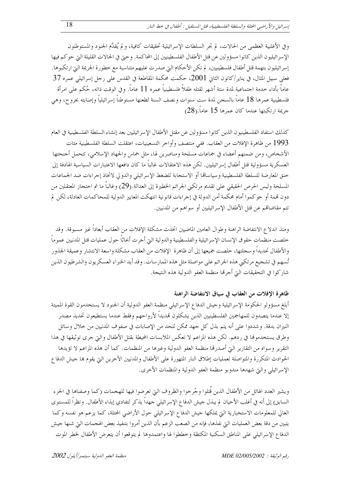وفي الأغلبية العظمى من الحالات، لم تجر السلطات الإسرائيلية تحقيقات كافية، و لم يُقدَّم الجنود والمستوطنون الإسرائيليون الذين كانوا مسؤولين عن قتل الأطفال الفلسطينيين إلى المحاكمة. وحتى في الحالات القليلة التي حوكم فيها إسرائيليون بتهمة قتل أطفال فلسطينيين، لم تكن الأحكام التي صدرت عليهم متناسبة مع حطورة الجريمة التي ارتكبوها. فعلمي سبيل المثال، في يناير/كانون الثاني 2001، حكمت محكمة المقاطعة في القدس علمي رجل إسرائيلي عمره 37 عاماً بأداء حدمة احتماعية لمدة ستة أشهر لقتله طفلاً فلسطينياً عمره 11 عاماً. وفي الوقت ذاته، حُكم على امرأة فلسطينية عمرها 18 عاماً بالسجن لمدة ست سنوات ونصف السنة لطعنها مستوطناً إسرائيلياً وإصابته بجروح، وهي جريمة ارتكبتها عندما كان عمرها 15 عاماً.(28)

كذلك استفاد الفلسطينيون الذين كانوا مسؤولين عن مقتل الأطفال الإسرائيليين بعد إنشاء السلطة الفلسطينية في العام 1993 من ظاهرة الإفلات من العقاب. ففي منتصف وأواخر التسعينيات، اعتقلت السلطة الفلسطينية مئات الأشخاص، ومن ضمنهم أعضاء في جماعات مسلحة ومناصرين لها، مثل حماس والجهاد الإسلامي، تتحمل أجنحتها العسكرية مسؤولية قتل أطفال إسرائيليين. لكن هذه الاعتقالات غالباً ما كان دافعها الاعتبارات السياسية الهادفة إلى حنق المعارضة للسلطة الفلسطينية وسياساقما أو الاستحابة للضغط الإسرائيلي والدولي لاتخاذ إحراءات ضد الجماعات المسلحة وليس الحرص الحقيقي على تقديم مرتكبي الجرائم الخطيرة إلى العدالة.(29) وغالباً ما تم احتجاز المعتقلين من دون تممة أو حو كموا أمام محكمة أمن الدولة في إجراءات قانونية انتهكت المعايير الدولية للمحاكمات العادلة، لكن لم تتم مقاضاهم عن قتل الأطفال الإسرائيليين أو سواهم من المدنيين.

ومنذ اندلاع الانتفاضة الراهنة وطوال العامين الماضيين اتخذت مشكلة الإفلات من العقاب أبعاداً غير مسبوقة. وقد حلصت منظمات حقوق الإنسان الإسرائيلية والفلسطينية والدولية التي أجرت أبحاثاً حول عمليات قتل المدنيين عموماً والأطفال تحديداً وسجلتها، حلصت جميعها إلى أن ظاهرة الإفلات من العقاب مشكلة واسعة الانتشار وعميقة الجذور تُسهم في تشجيع مرتكبي هذه الجرائم على مواصلة مثل هذه الممارسات. وقد أيد الخبراء العسكريون والشرطيون الذين شاركوا في التحقيقات التي أحرقما منظمة العفو الدولية هذه النتيجة.

#### ظاهرة الإفلات من العقاب في سياق الانتفاضة الراهنة

أبلغ مسؤولو الحكومة الإسرائيلية وحيش الدفاع الإسرائيلي منظمة العفو الدولية أن الجنود لا يستخدمون القوة المميتة إلا عندما يتصدون للمهاجمين الفلسطينيين الذين يشكلون تمديداً لأرواحهم وفقط عندما يستطيعون تحديد مصدر النيران بدقة. وشددوا على أنه يتم بذل كل جهد ممكن للحد من الإصابات في صفوف المدنيين من حلال وسائل وطرق يستخدموها في ردهم. لكن هذه المزاعم لا تعكس الملابسات المحيطة بقتل الأطفال والتي جرى توثيقها في هذا التقرير وسواه من التقارير التي أصدرها منظمة العفو الدولية وغيرها من المنظمات. كما أن هذه المزاعم لا تؤيدها الحوادث المتكررة والمتواصلة لعمليات إطلاق النار المتهورة على الأطفال والمدنيين الآخرين التي يقوم بما حيش الدفاع الإسرائيلي والتي شهدها مندوبو منظمة العفو الدولية والمنظمات الأخرى.

ويشير العدد الهائل من الأطفال الذين قُتلوا وجُرحوا والظروف التي تعرضوا فيها للهجمات (كما وصفناها في الجزء السابق) إلى أنه في أغلب الأحيان لم يبذل حيش الدفاع الإسرائيلي جهداً يذكر لتفادي إيذاء الأطفال. ونظراً للمستوى العالي للمعلومات الاستخبارية التي يملكها جيش الدفاع الإسرائيلي حول الأراضي المحتلة، كما يزعم هو نفسه وكما يتبين من دقة بعض العمليات التي نفذها، فإنه من الصعب الزعم بأن الذين أمروا بتنفيذ بعض الهجمات التي شنها حيش الدفاع الإسرائيلي على المناطق السكنية المكتظة وخططوا لها واعتمدوها لم يتوقعوا أن يتعرض الأطفال لخطر الموت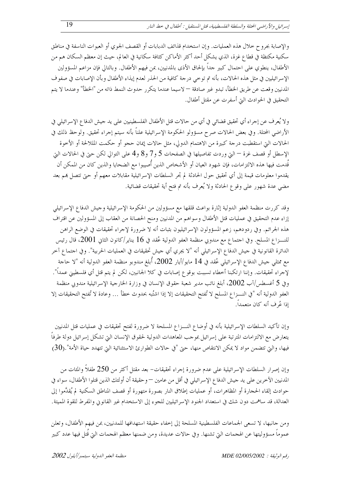والإصابة بجروح حلال هذه العمليات. وإن استخدام قذائف الدبابات أو القصف الجوي أو العبوات الناسفة في مناطق سكنية مكتظة في قطاع غزة، الذي يشكل أحد أكثر الأماكن كثافة سكانية في العالم، حيث إن معظم السكان هم من الأطفال، ينطوي على احتمال كبير حداً بإلحاق الأذي بالمدنيين، بمن فيهم الأطفال. وبالتالي فإن مزاعم المسؤولين الإسرائيليين في مثل هذه الحالات، بأنه تم توحيي درجة كافية من الحذر لعدم إيذاء الأطفال وبأن الإصابات في صفوف المدنيين وقعت عن طريق الخطأ، تبدو غير صادقة — لاسيما عندما يتكرر حدوث النمط ذاته من "الخطأ" وعندما لا يتم التحقيق في الحوادث التي أسفرت عن مقتل أطفال.

ولا يُعرف عن إجراء أي تحقيق قضائي في أي من حالات قتل الأطفال الفلسطينيين على يد حيش الدفاع الإسرائيلي في الأراضي المحتلة. وفي بعض الحالات صرح مسؤولو الحكومة الإسرائيلية علناً بأنه سيتم إجراء تحقيق. ولوحظ ذلك في الحالات التيّ استقطبت درجة كبيرة من الاهتمام الدولي، مثل حالات إيمان حجو أو حكمت المللالحة أو الأخوة الإسطل أو قصف غزة — التي وردت تفاصيلها في الصفحات 5 و7 و8 و4 على التوالي لكن حتى في الحالات التي قُدمت فيها هذه الالتزامات، فإن شهود العيان أو الأشخاص الذين أُصيبوا مع الضحايا والذين كان من المكن أن يقدموا معلومات قيمة إلى أي تحقيق حول الحادثة لم تجر السلطات الإسرائيلية مقابلات معهم أو حتى تتصل بمم بعد مضي عدة شهور على وقوع الحادثة ولا يُعرف بأنه تم فتح أية تحقيقات قضائية.

وقد كررت منظمة العفو الدولية إثارة بواعث قلقها مع مسؤولين من الحكومة الإسرائيلية وحيش الدفاع الإسرائيلي إزاء عدم التحقيق في عمليات قتل الأطفال وسواهم من المدنيين ومنح الحصانة من العقاب إلى المسؤولين عن اقتراف هذه الجرائم. وفي ردودهم، زعم المسؤولون الإسرائيليون بثبات أنه لا ضرورة لإجراء تحقيقات في الوضع الراهن للنـــزاع المسلح. وفي احتماع مع مندوبي منظمة العفو الدولية عُقد في 16 يناير/كانون الثاني 2001، قال رئيس الدائرة القانونية في حيش الدفاع الإسرائيلي أنه "لا يجري أي حيش تحقيقات في العمليات الحربية". وفي احتماع آخر مع ممثلي حيش الدفاع الإسرائيلي عُقد في 14 مايو/أيار 2002، أُبلغ مندوبو منظمة العفو الدولية أنه "لا حاجة لإحراء تحقيقات. وإننا ارتكبنا أخطاء تسببت بوقوع إصابات في كلا الجانبين، لكن لم يتم قتل أي فلسطيني عمداً". وفي 5 أغسطس/آب 2002، أبلغ نائب مدير شعبة حقوق الإنسان في وزارة الخارجية الإسرائيلية مندوبي منظمة العفو الدولية أنه "في النـــزاع المسلح لا تُفتح التحقيقات إلا إذا اشتُبه بحدوث خطأ … وعادة لا تُفتح التحقيقات إلا إذا عُمِ فِ أنه كانٍ متعمداً.

وإن تأكيد السلطات الإسرائيلية بأنه في أوضاع النـــزاع المسلحة لا ضرورة لفتح تحقيقات في عمليات قتل المدنيين يتعارض مع الالتزامات المترتبة على إسرائيل بموجب المعاهدات الدولية لحقوق الإنسان التي تشكل إسرائيل دولة طرفاً فيها، والتي تتضمن مواد لا يمكن الانتقاص منها، حتى "في حالات الطوارئ الاستثنائية التي تتهدد حياة الأمة" .(30)

وإن إصرار السلطات الإسرائيلية على عدم ضرورة إجراء تحقيقات– بعد مقتل أكثر من 250 طفلاً والمئات من المدنيين الآخرين على يد حيش الدفاع الإسرائيلي في أقل من عامين — وحقيقة أن أولئك الذين قتلوا الأطفال، سواء في حوادث إلقاء الحجارة أو المظاهرات، أو عمليات إطلاق النار بصورة متهورة أو قصف المناطق السكنية لم يُقدَّموا إلى العدالة، قد ساهمت دون شك في استعداد الجنود الإسرائيليين للجوء إلى الاستخدام غير القانويي والمفرط للقوة المميتة.

ومن حانبها، لا تسعى الجماعات الفلسطينية المسلحة إلى إخفاء حقيقة استهدافها للمدنيين، بمن فيهم الأطفال، وتعلن عموماً مسؤوليتها عن الهجمات التي تشنها. وفي حالات عديدة، ومن ضمنها معظم الهجمات التي قُتل فيها عدد كبير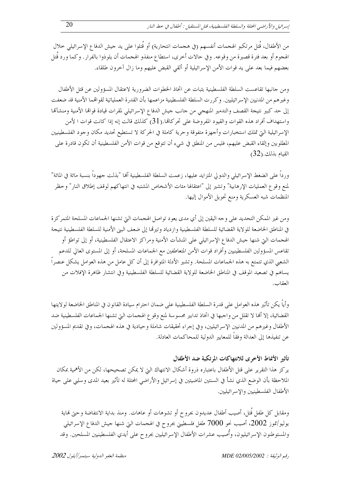من الأطفال، قُتل مرتكبو الهجمات أنفسهم (في هجمات انتحارية) أو قُتلوا على يد جيش الدفاع الإسرائيلي خلال الهجوم أو بعد فترة قصيرة من وقوعه. وفي حالات أخرى، استطاع منفذو الهجمات أن يلوذوا بالفرار. وكما ورد قُتل بعضهم فيما بعد على يد قوات الأمن الإسرائيلية أو ألقى القبض عليهم وما زال آخرون طلقاء.

ومن حانبها تقاعست السلطة الفلسطينية بثبات عن اتخاذ الخطوات الضرورية لاعتقال المسؤولين عن قتل الأطفال وغيرهم من المدنيين الإسرائيليين. وكررت السلطة الفلسطينية مزاعمها بأن القدرة العملياتية لقواقمما الأمنية قد ضعفت إلى حد كبير نتيجة القصف والتدمير المنهجي من حانب حيش الدفاع الإسرائيلي لمقرات قيادة قوالها الأمنية ومنشآها واستهداف أفراد هذه القوات والقيود المفروضة على تحركالها.(31) كذلك قالت إنه إذا كانت قوات ا لأمن الإسرائيلية التي تملك استخبارات وأحهزة متفوقة وحرية كاملة في الحركة لا تستطيع تحديد مكان وحود الفلسطينيين المطلوبين وإلقاء القبض عليهم، فليس من المنطق في شيء أن تتوقع من قوات الأمن الفلسطينية أن تكون قادرة على القيام بذلك.(32)

ورداً على الضغط الإسرائيلي والدولي المتزايد عليها، زعمت السلطة الفلسطينية ألها "بذلت حهوداً بنسبة مائة في المائة" لمنع وقوع العمليات الإرهابية" وتشير إلى "اعتقالها مئات الأشخاص المشتبه في انتهاكهم لوقف إطلاق النار" وحظر المنظمات شبه العسكرية ومنع تحويل الأموال إليها.

ومن غير الممكن التحديد على وجه اليقين إلى أي مدى يعود تواصل الهجمات التي تشنها الجماعات المسلحة المتمركزة في المناطق الخاضعة للولاية القضائية للسلطة الفلسطينية وازدياد وتيرتما إلى ضعف البني الأمنية للسلطة الفلسطينية نتيجة الهجمات التي شنها جيش الدفاع الإسرائيلي على المنشآت الأمنية ومراكز الاعتقال الفلسطينية، أو إلى تواطؤ أو تقاعس المسؤولين الفلسطينيين وأفراد قوات الأمن المتعاطفين مع الجماعات المسلحة، أو إلى المستوى العالي للدعم الشعبي الذي تتمتع به هذه الجماعات المسلحة. وتشير الأدلة المتوافرة إلى أن كل عامل من هذه العوامل يشكل عنصراً يساهم في تصعيد الموقف في المناطق الخاضعة للولاية القضائية للسلطة الفلسطينية وفي انتشار ظاهرة الإفلات من العقاب.

وأياً يكن تأثير هذه العوامل على قدرة السلطة الفلسطينية على ضمان احترام سيادة القانون في المناطق الخاضعة لولايتها القضائية، إلا ألها لا تقلل من واجبها في اتخاذ تدابير محسوسة لمنع وقوع الهجمات التي تشنها الجماعات الفلسطينية ضد الأطفال وغيرهم من المدنيين الإسرائيليين، وفي إجراء تحقيقات شاملة وحيادية في هذه الهجمات، وفي تقديم المسؤولين عن تنفيذها إلى العدالة وفقاً للمعايير الدولية للمحاكمات العادلة.

#### تأثير الأنماط الأخرى للانتهاكات المرتكبة ضد الأطفال

يركز هذا التقرير على قتل الأطفال باعتباره ذروة أشكال الانتهاك التي لا يمكن تصحيحها، لكن من الأهمية بمكان الملاحظة بأن الوضع الذي نشأ في السنتين الماضيتين في إسرائيل والأراضي المحتلة له تأثير بعيد المدى وسلبي على حياة الأطفال الفلسطينيين والإسرائيليين.

ومقابل كل طفل قُتل، أصيب أطفال عديدون بحروح أو تشوهات أو عاهات. ومنذ بداية الانتفاضة وحتى نماية يوليو/تموز 2002، أصيب نحو 7000 طفل فلسطيني بحروح في الهجمات التي شنها حيش الدفاع الإسرائيلي والمستوطنون الإسرائيليون، وأُصيب عشرات الأطفال الإسرائيليين بجروح على أيدي الفلسطينيين المسلحين. وقد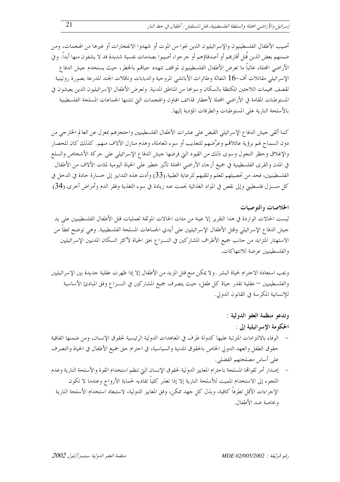أصيب الأطفال الفلسطينيون والإسرائيليون الذين نجوا من الموت أو شهدوا الانفجارات أو غيرها من الهجمات، ومن ضمنهم بعض الذين قُتل أقارهم أو أصدقاؤهم أو جرحوا، أصيبوا بصدمات نفسية شديدة قد لا يشفون منها أبداً. وفي الأراضي المحتلة، غالباً ما تعرض الأطفال الفلسطينيون لمواقف تتهدد حياقمم بالخطر، حيث يستخدم جيش الدفاع الإسرائيلي مقاتلات أف-16 النفاثة وطائرات الأباتشي المروحية والدبابات وناقلات الجند المدرعة بصورة روتينية لقصف مخيمات اللاجئين المكتظة بالسكان وسواها من المناطق المدنية. وتعرض الأطفال الإسرائيليون الذين يعيشون في المستوطنات المقامة في الأراضي المحتلة لأخطار قذائف الهاون والهجمات التي تشنها الجماعات المسلحة الفلسطينية بالأسلحة النارية على المستوطنات والطرقات المؤدية إليها.

كما ألقى جيش الدفاع الإسرائيلي القبض على عشرات الأطفال الفلسطينيين واحتجزهم بمعزل عن العالم الخارجي من دون السماح لهم برؤية عائلاڤمم وعرَّضهم للتعذيب أو سوء المعاملة، وهدم منازل الآلاف منهم. كذلك كان للحصار والإغلاق وحظر التجول وسوى ذلك من القيود التي فرضها جيش الدفاع الإسرائيلي على حركة الأشخاص والسلع في المدن والقرى الفلسطينية في جميع أرحاء الأراضى المحتلة تأثير خطير على الحياة اليومية لمئات الآلاف من الأطفال الفلسطينيين، فحد من تحصيلهم للعلم وتلقيهم للرعاية الطبية.(33) وأدت هذه التدابير إلى خسارة حادة في الدخل في كل منــــزل فلسطيني وإلى نقص في المواد الغذائية نجمت عنه زيادة في سوء التغذية وفقر الدم وأمراض أخرى.(34)

#### الخلاصات والتوصيات

ليست الحالات الواردة في هذا التقرير إلا عينة من مئات الحالات الموثقة لعمليات قتل الأطفال الفلسطينيين على يد حيش الدفاع الإسرائيلي وقتل الأطفال الإسرائيليين على أيدي الجماعات المسلحة الفلسطينية. وهي توضح نمطاً من الاستهتار المتزايد من حانب جميع الأطراف المشاركين في النـــزاع بحق الحياة لأكثر السكان المدنيين الإسرائيليين والفلسطينيين عرضة للانتهاكات.

ويجب استعادة الاحترام لحياة البشر . ولا يمكن منع قتل المزيد من الأطفال إلا إذا ظهرت عقلية جديدة بين الإسرائيليين والفلسطينيين — عقلية تقدر حياة كل طفل، حيث يتصرف جميع المشاركين في النـــزاع وفق المبادئ الأساسية للإنسانية المكرسة في القانون الدولي.

## وتدعو منظمة العفو الدولية : الحكومة الإسرائيلية إلى :

الوفاء بالالتزامات المترتبة عليها كدولة طرف في المعاهدات الدولية الرئيسية لحقوق الإنسان، ومن ضمنها اتفاقية حقوق الطفل والعهد الدولي الخاص بالحقوق المدنية والسياسية، في احترام حق جميع الأطفال في الحياة والتصرف على أساس مصلحتهم الفضلي.

إصدار أمر لقواقما المسلحة باحترام المعايير الدولية لحقوق الإنسان التي تنظم استخدام القوة والأسلحة النارية وعدم اللجوء إلى الاستخدام المميت للأسلحة النارية إلا إذا تعذر كلياً تفاديه لحماية الأرواح وعندما لا تكون الإجراءات الأقل تطرفاً كافية، وبذل كل جهد ممكن، وفق المعايير الدولية، لاستبعاد استخدام الأسلحة النارية وبخاصة ضد الأطفال.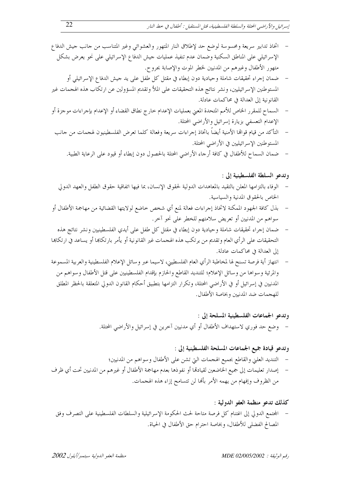- اتخاذ تدابير سريعة ومحسوسة لوضع حد لإطلاق النار المتهور والعشوائي وغير المتناسب من حانب حيش الدفاع الإسرائيلي على المناطق السكنية وضمان عدم تنفيذ عمليات حيش الدفاع الإسرائيلي على نحو يعرض بشكل متهور الأطفال وغيرهم من المدنيين لخطر الموت والإصابة بجروح.
- ضمان إجراء تحقيقات شاملة وحيادية دون إبطاء في مقتل كل طفل على يد حيش الدفاع الإسرائيلي أو المستوطنين الإسرائيليين، ونشر نتائج هذه التحقيقات على الملأ وتقديم المسؤولين عن ارتكاب هذه الهجمات غير القانونية إلى العدالة في محاكمات عادلة.
- السماح للمقرر الخاص للأمم المتحدة المعنى بعمليات الإعدام حارج نطاق القضاء أو الإعدام بإجراءات موجزة أو الإعدام التعسفي بزيارة إسرائيل والأراضي المحتلة.
	- التأكد من قيام قوالها الأمنية أيضاً باتخاذ إجراءات سريعة وفعالة كلما تعرض الفلسطينيون لهجمات من حانب  $\overline{a}$ المستوطنين الإسرائيليين في الأراضي المحتلة.
		- ضمان السماح للأطفال في كافة أرجاء الأراضي المحتلة بالحصول دون إبطاء أو قيود على الرعاية الطبية.  $\sim$

وتدعو السلطة الفلسطينية إلى :

- الوفاء بالتزامها المعلن بالتقيد بالمعاهدات الدولية لحقوق الإنسان، بما فيها اتفاقية حقوق الطفل والعهد الدولي الخاص بالحقوق المدنية والسياسية.
- بذل كافة الجهود الممكنة لاتخاذ إجراءات فعالة لمنع أي شخص خاضع لولايتها القضائية من مهاجمة الأطفال أو سواهم من المدنيين أو تعريض سلامتهم للخطر على نحو آخر.
- ضمان إحراء تحقيقات شاملة وحيادية دون إبطاء في مقتل كل طفل على أيدي الفلسطينيين ونشر نتائج هذه التحقيقات على الرأي العام وتقديم من يرتكب هذه الهجمات غير القانونية أو يأمر بارتكاها أو يساعد في ارتكاها إلى العدالة في محاكمات عادلة.
- انتهاز أية فرصة تسنح لها لمخاطبة الرأي العام الفلسطيني، لاسيما عبر وسائل الإعلام الفلسطينية والعربية المسموعة والمرئية وسواها من وسائل الإعلام؛ للتنديد القاطع والحازم بإقدام الفلسطينيين على قتل الأطفال وسواهم من المدنيين في إسرائيل أو في الأراضي المحتلة، وتكرار التزامها بتطبيق أحكام القانون الدولى المتعلقة بالحظر المطلق للهجمات ضد المدنيين وبخاصة الأطفال.
	- وتدعو الجماعات الفلسطينية المسلحة إلى : – وضع حد فوري لاستهداف الأطفال أو أي مدنيين آخرين في إسرائيل والأراضي المحتلة.

وتدعو قيادة جميع الجماعات المسلحة الفلسطينية إلى :

- التنديد العليي والقاطع بجميع الهجمات التي تشن على الأطفال وسواهم من المدنيين؛
- إصدار تعليمات إلى جميع الخاضعين لقيادهّا أو نفوذها بعدم مهاجمة الأطفال أو غيرهم من المدنيين تحت أي ظرف من الظروف وإفهام من يهمه الأمر بألها لن تتسامح إزاء هذه الهجمات.
	- كذلك تدعو منظمة العفو الدولية :
	- المحتمع الدولي إلى اغتنام كل فرصة متاحة لحث الحكومة الإسرائيلية والسلطات الفلسطينية على التصرف وفق المصالح الفضلي للأطفال، وبخاصة احترام حق الأطفال في الحياة.

منظمة العفو الدولية يستعبر/أبلول 2002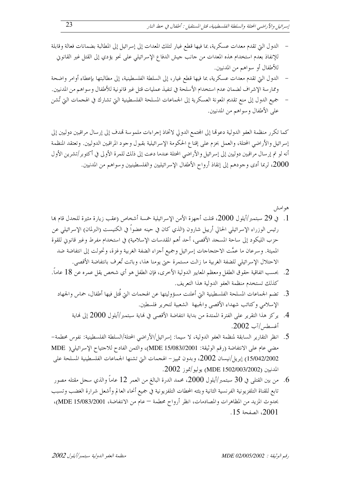- الدول التي تقدم معدات عسكرية، بما فيها قطع غيار لتلك المعدات إلى إسرائيل إلى المطالبة بضمانات فعالة وقابلة للإنفاذ بعدم استخدام هذه المعدات من حانب حيش الدفاع الإسرائيلي على نحو يؤدي إلى القتل غير القانوين للأطفال أو سواهم من المدنيين.
- الدول التي تقدم معدات عسكرية، بما فيها قطع غيار، إلى السلطة الفلسطينية، إلى مطالبتها بإعطاء أوامر واضحة وممارسة الإشراف لضمان عدم استخدام الأسلحة في تنفيذ عمليات قتل غير قانونية للأطفال وسواهم من المدنيين. جميع الدول إلى منع تقديم المعونة العسكرية إلى الجماعات المسلحة الفلسطينية التي تشارك في الهجمات التي تُشن
	- على الأطفال وسواهم من المدنيين.

كما تكرر منظمة العفو الدولية دعوتها إلى المحتمع الدولي لاتخاذ إجراءات ملموسة تمدف إلى إرسال مراقبين دوليين إلى إسرائيل والأراضي المحتلة، والعمل بحزم على إقناع الحكومة الإسرائيلية بقبول وجود المراقبين الدوليين. وتعتقد المنظمة أنه لو تم إر سال مراقبين دوليين إلى إسرائيل والأراضي المحتلة عندما دعت إلى ذلك للمرة الأولى في أكتو بر/تشرين الأول 2000، لربما أدى وجودهم إلى إنقاذ أرواح الأطفال الإسرائيليين والفلسطينيين وسواهم من المدنيين.

هوامش

- 1. في 29 سبتمبر/أيلول 2000، قتلت أجهزة الأمن الإسرائيلية خمسة أشخاص (عقب زيارة مثيرة للجدل قام بما رئيس الوزراء الإسرائيلي الحالي أرييل شارون (الذي كان في حينه عضواً في الكنيست (البرلمان) الإسرائيلي عن حزب الليكود إلى ساحة المسجد الأقصى، أحد أهم المقدسات الإسلامية) في استخدام مفرط وغير قانوني للقوة المميتة. وسرعان ما عمَّت الاحتجاجات إسرائيل وجميع أجزاء الضفة الغربية وغزة، وتحولت إلى انتفاضة ضد الاحتلال الإسرائيلي للضفة الغربية ما زالت مستمرة حتى يومنا هذا، وباتت تُعرف بانتفاضة الأقصى.
- 2. بحسب اتفاقية حقوق الطفل ومعظم المعايير الدولية الأخرى، فإن الطفل هو أي شخص يقل عمره عن 18 عاماً. كذلك تستخدم منظمة العفو الدولية هذا التعريف.
	- 3. تضم الجماعات المسلحة الفلسطينية التي أعلنت مسؤوليتها عن الهجمات التي قُتل فيها أطفال، حماس والجهاد الإسلامي وكتائب شهداء الأقصى والجبهة الشعبية لتحرير فلسطين.
		- 4. يركز هذا التقرير على الفترة الممتدة من بداية انتفاضة الأقصى في نماية سبتمبر/أيلول 2000 إلى نماية أغسطس/آب 2002.
- 5. انظر التقارير السابقة لمنظمة العفو الدولية، لا سيما: إسرائيل/الأراضي المحتلة/السلطة الفلسطينية: نفوس محطمة– مضي عام على الانتفاضة (رقم الوثيقة: MDE 15/083//2001)، والثمن الفادح للاحتياح الإسرائيلي( MDE 15/042/2002) إبريل/نيسان 2002، وبدون تمييز – الهجمات التي تشنها الجماعات الفلسطينية المسلحة على المدنيين (003/2002/003/2002) يوليو/تموز 2002.
- . من بين القتلى في 30 سبتمبر/أيلول 2000، محمد الدرة البالغ من العمر 12 عاماً والذي سحل مقتله مصور . تابع للقناة التلفزيونية الفرنسية الثانية وبثته المحطات التلفزيونية في جميع أنحاء العالم وأشعل شرارة الغضب وتسبب بحدوث المزيد من المظاهرات والمصادمات، انظر أرواح محطمة – عام من الانتفاضة، MDE 15/083/2001)، 2001، الصفحة 15.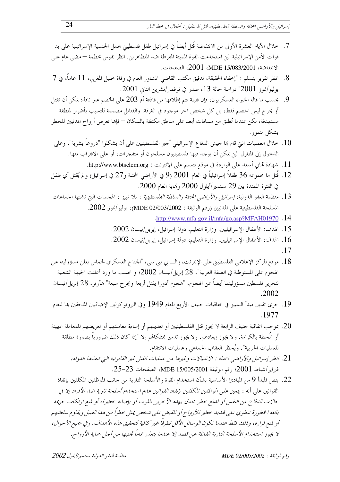- 7. خلال الأيام العشرة الأولى من الانتفاضة قُتل أيضاً في إسرائيل طفل فلسطيني يحمل الجنسية الإسرائيلية على يد قوات الأمن الإسرائيلية التي استخدمت القوة المميتة المفرطة ضد المتظاهرين. انظر نفوس محطمة — مضبي عام على الانتفاضة، 2001/083/2001، 2001، الصفحات.
- 8. انظر تقرير بتسلم : "إخفاء الحقيقة، تدقيق مكتب القاضي المشاور العام في وفاة خليل المغربي، 11 عاماً، في 7 يوليو/تموز 2001" دراسة حالة 13، صدر في نوفمبر/تشرين الثاني 2001.
- 9. بحسب ما قاله الخبراء العسكريون، فإن قنبلة يتم إطلاقها من قاذفة أم 203 على الخصم عبر نافذة يمكن أن تقتل أو تجرح ليس الخصم فقط، بل كل شخص آخر موجود في الغرفة. والقنابل مصممة للتسبب بأضرار لمنطقة مستهدفة، لكن عندما تُطلق من مسافات أبعد على مناطق مكتظة بالسكان — فإلها تعرض أرواح المدنيين للخطر بشكل متهور .
- 10 . خلال العمليات التي قام بما جيش الدفاع الإسرائيلي أحبر الفلسطينيين على أن يشكلوا "دروعاً بشرية"، وعلى الدخول إلى المنازل التي يمكن أن يوجد فيها فلسطينيون مسلحون أو متفجرات، أو على الاقتراب منها.
	- 11. شهادة قمانٍ أسعد على الواردة في موقع بتسلم على الإنترنت : http://www.btselem.org.
- 12. قُتل ما مجموعه 36 طفلاً إسرائيلياً في العام 2001 (9 في الأراضى المحتلة و27 في إسرائيل) و لم يُقتل أي طفل في الفترة الممتدة بين 29 سبتمبر/أيلول 2000 ونماية العام 2000.
- 13. منظمة العفو الدولية، *إسرائيل والأراضبي المحتلة والسلطة الفلسطينية :* بلا تمييز : الهجمات التي تشنها الجماعات المسلحة الفلسطينية على المدنيين (رقم الوثيقة : 2003/2002/08/2002)، يوليو/تموز 2002.
	- .http://www.mfa.gov.il/mfa/go.asp?MFAH01970.14
	- 15. الهدف: الأطفال الإسرائيليين. وزارة التعليم، دولة إسرائيل، إبريل/نيسان 2002.
	- . الهدف: الأطفال الإسرائيليين. وزارة التعليم، دولة إسرائيل، إبريل/نيسان 2002. [
		- $.17$
- 18 . موقع المركز الإعلامي الفلسطيني على الإنترنت، والــــ بي بيي سي، "الجناح العسكري لحماس يعلن مسؤوليته عن الهجوم على المستوطنة في الضفة الغربية"، 28 إبريل/نيسان 2002؛ و بحسب ما ورد أعلنت الجبهة الشعبية لتحرير فلسطين مسؤوليتها أيضاً عن الهجوم، "هجوم أدورا يقتل أربعة ويجرح سبعة" هآرتز، 28 إبريل/نيسان  $.2002$
- 19 . حرى تقنين مبدأ التمييز في اتفاقيات حنيف الأربع للعام 1949 وفي البروتوكولين الإضافيين الملحقين ها للعام 1977
- . بموجب اتفاقية جنيف الرابعة لا يجوز قتل الفلسطينيين أو تعذيبهم أو إساءة معاملتهم أو تعريضهم للمعاملة المهينة  $20$ أو المُحطة بالكرامة. ولا يجوز إبعادهم. ولا يجوز تدمير ممتلكاقمم إلا "إذا كان ذلك ضرورياً بصورة مطلقة للعمليات الحربية". ويُحظر العقاب الجماعي وعمليات الانتقام.
	- 21. انظر إسرائيل والأراضي المحتلة : الاغتيالات وغيرها من عمليات القتل غير القانونية التي تنفذها الدولة، فبراير/شباط 2001؛ رقم الوثيقة MDE 15/005/2001، الصفحات 23-25.
- 22. ينص المبدأ 9 من المبادئ الأساسية بشأن استخدام القوة والأسلحة النارية من جانب الموظفين المكلفين بإنفاذ القوانين على أنه : يتعي*ن على الموظفين المكلفين بإنفاذ القوانين عدم استخدام أسلحة نا<sub>ر</sub>ية ضد الأفراد إلا في* حالات الدفاع عن النفس أو لدفع حطر محدق يهدد الآحرين بالموت أو بإصابة حطيرة، أو لمنع ارتكاب حريمة بالغة الخطورة تنطوي عليي تمديد بحطير للأرواح أو للقبض عليي شخص يمثل حطراً من هذا القبيل ويقاوم سلطتهم أو لمنع فراره، وذلك فقط عندما تكون الوسائل الأقل تطرفًا غير كافية لتحقيق هذه الأهداف. وفي جميع الأحوال، لا يجوز استخدام الأسلحة النارية القاتلة عن قصد إلا عندما يتعذر تماماً تجنبها من أجل حماية الأرواح.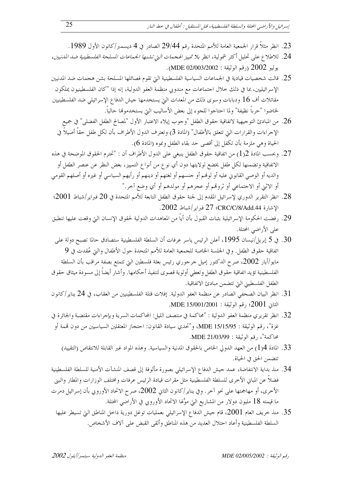- 23. انظر مثلاً قرار الجمعية العامة للأمم المتحدة رقم 29/44 الصادر في 4 ديسمبر/كانون الأول 1989.
- .<br>24. للاطلاع على تحليل أكثر شمولية، انظر *بلا تمييز الهجمات التي تشنها الجماعات المسلحة الفلسطينية ضد المدنيين*، يوليو 2002 (رقم الوثيقة : MDE 02/003/2002).
- 25. قالت شخصيات قيادية في الجماعات السياسية الفلسطينية التي تقوم فصائلها المسلحة بشن هجمات ضد المدنيين الإسرائيليين، بما في ذلك خلال احتماعات مع مندوبي منظمة العفو الدولية، إنه إذا "كان الفلسطينيون يملكون مقاتلات أف 16 ودبابات وسوى ذلك من المعدات التي يستخدمها جيش الدفاع الإسرائيلي ضد الفلسطينيين لخاضوا "حرباً نظيفة" ولما احتاجوا للجوء إلى بعض الأساليب التي يستخدموها حالياً.
	- 26. من المبادئ التوحيهية لاتفاقية حقوق الطفل "وحوب إيلاء الاعتبار الأول "لمصالح الطفل الفضلي" في جميع الإحراءات والقرارات التي تتعلق بالأطفال" (المادة 3) وتعترف الدول الأطراف بأن لكل طفل حقاً أصيلاً في الحياة وهي ملزمة بأن تكفل إلى أقصى حد بقاء الطفل ونموه (المادة 6).
- 27. وبحسب المادة 2(1) من اتفاقية حقوق الطفل ينبغي على الدول الأطراف أن : "تحترم الحقوق الموضحة في هذه الاتفاقية وتضمنها لكل طفل يخضع لولايتها دون أي نو ع من أنواع التمييز، بغض النظر عن عنصر الطفل أو والديه أو الوصى القانوني عليه أو لوهُم أو حنسهم أو لغتهم أو دينهم أو رأيهم السياسي أو غيره أو أصلهم القومي أو الاثني أو الاحتماعي أو ثروتمم أو عجزهم أو مولدهم أو أي وضع آخر."
- 28. انظر التقرير الدوري لإسرائيل المقدم إلى لجنة حقوق الطفل التابعة للأمم المتحدة في 20 فبراير/شباط 2001؛ الإشارة CRC/C/8/Add.44: 2002. [27] فيراير /شباط 2002.
- 29. رفضت الحكومة الإسرائيلية بثبات القبول بأن أياً من المعاهدات الدولية لحقوق الإنسان التي وقعت عليها تنطبق على الأراضي المحتلة.
- ي 5 إبريل/نيسان 1995، أعلن الرئيس ياسر عرفات أن السلطة الفلسطينية ستصادق حالما تصبح دولة على  $30\,$ اتفاقية حقوق الطفل. وفي الجلسة الخاصة للجمعية العامة للأمم المتحدة حول الأطفال والتي عُقدت في 9 مايو/أيار 2002، صرح الدكتور إميل جرجوري رئيس بعثة فلسطين التي تتمتع بصفة مراقب بأن السلطة الفلسطينية تؤيد اتفاقية حقوق الطفل وتعطى أولوية قصوى لتنفيذ أحكامها. وأشار أيضاً إلى مسودة ميثاق حقوق الطفل الفلسطيني التي تتضمن مبادئ الاتفاقية.
- 31. انظر البيان الصحفي الصادر عن منظمة العفو الدولية. إفلات قتلة الفلسطينيين من العقاب، في 24 يناير/كانون الثاني 2001؛ رقم الوثيقة : MDE 15/001/2001.
- 32. انظر تقريري منظمة العفو الدولية : "محاكمة في منتصف الليل: المحاكمات السرية وبإجراءات مقتضبة والجائرة في غزة"، رقم الوثيقة : MDE 15/15/95، و"تحدي سيادة القانون: احتجاز المعتقلين السياسيين من دون قممة أو محاكمة"، , قم الوثيقة : MDE 21/03/99.
	- 33. المادة 1{1] من العهد الدولي الخاص بالحقوق المدنية والسياسية. وهذه المواد غير القابلة للانتقاص (التقييد) تتضمن الحق في الحياة.
- 34. منذ بداية الانتفاضة، عمد حيش الدفاع الإسرائيلي بصورة مألوفة إلى قصف المنشآت الأمنية للسلطة الفلسطينية فضلاً عن المباني الأخرى للسلطة الفلسطينية مثل مقرات قيادة الرئيس عرفات ومختلف الوزارات والمطار والبني الأخرى، أو مهاجمتها على نحو آخر. وفي يناير/كانون الثاني 2002، صرح الاتحاد الأوروبي بأن إسرائيل دمرت ما قيمته 18 مليون دولار من المشاريع التي موَّلها الاتحاد الأوروبي في الأراضي المحتلة.
	- .35 منذ خريف العام 2001، قام جيش الدفاع الإسرائيلي بعمليات توغل دورية داخل المناطق التي تسيطر عليها. السلطة الفلسطينية وأعاد احتلال العديد من هذه المناطق وألقى القبض على آلاف الأشخاص.